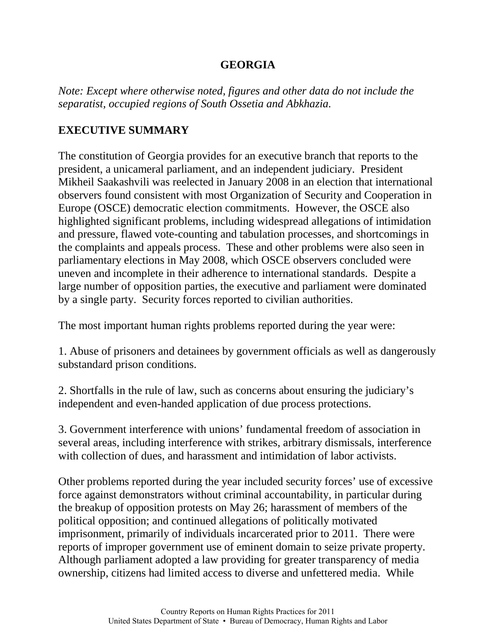*Note: Except where otherwise noted, figures and other data do not include the separatist, occupied regions of South Ossetia and Abkhazia.*

# **EXECUTIVE SUMMARY**

The constitution of Georgia provides for an executive branch that reports to the president, a unicameral parliament, and an independent judiciary. President Mikheil Saakashvili was reelected in January 2008 in an election that international observers found consistent with most Organization of Security and Cooperation in Europe (OSCE) democratic election commitments. However, the OSCE also highlighted significant problems, including widespread allegations of intimidation and pressure, flawed vote-counting and tabulation processes, and shortcomings in the complaints and appeals process. These and other problems were also seen in parliamentary elections in May 2008, which OSCE observers concluded were uneven and incomplete in their adherence to international standards. Despite a large number of opposition parties, the executive and parliament were dominated by a single party. Security forces reported to civilian authorities.

The most important human rights problems reported during the year were:

1. Abuse of prisoners and detainees by government officials as well as dangerously substandard prison conditions.

2. Shortfalls in the rule of law, such as concerns about ensuring the judiciary's independent and even-handed application of due process protections.

3. Government interference with unions' fundamental freedom of association in several areas, including interference with strikes, arbitrary dismissals, interference with collection of dues, and harassment and intimidation of labor activists.

Other problems reported during the year included security forces' use of excessive force against demonstrators without criminal accountability, in particular during the breakup of opposition protests on May 26; harassment of members of the political opposition; and continued allegations of politically motivated imprisonment, primarily of individuals incarcerated prior to 2011. There were reports of improper government use of eminent domain to seize private property. Although parliament adopted a law providing for greater transparency of media ownership, citizens had limited access to diverse and unfettered media. While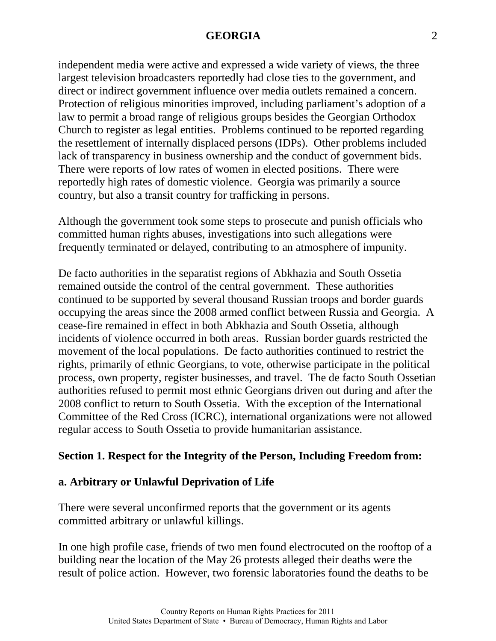independent media were active and expressed a wide variety of views, the three largest television broadcasters reportedly had close ties to the government, and direct or indirect government influence over media outlets remained a concern. Protection of religious minorities improved, including parliament's adoption of a law to permit a broad range of religious groups besides the Georgian Orthodox Church to register as legal entities. Problems continued to be reported regarding the resettlement of internally displaced persons (IDPs). Other problems included lack of transparency in business ownership and the conduct of government bids. There were reports of low rates of women in elected positions. There were reportedly high rates of domestic violence. Georgia was primarily a source country, but also a transit country for trafficking in persons.

Although the government took some steps to prosecute and punish officials who committed human rights abuses, investigations into such allegations were frequently terminated or delayed, contributing to an atmosphere of impunity.

De facto authorities in the separatist regions of Abkhazia and South Ossetia remained outside the control of the central government. These authorities continued to be supported by several thousand Russian troops and border guards occupying the areas since the 2008 armed conflict between Russia and Georgia. A cease-fire remained in effect in both Abkhazia and South Ossetia, although incidents of violence occurred in both areas. Russian border guards restricted the movement of the local populations. De facto authorities continued to restrict the rights, primarily of ethnic Georgians, to vote, otherwise participate in the political process, own property, register businesses, and travel. The de facto South Ossetian authorities refused to permit most ethnic Georgians driven out during and after the 2008 conflict to return to South Ossetia. With the exception of the International Committee of the Red Cross (ICRC), international organizations were not allowed regular access to South Ossetia to provide humanitarian assistance.

# **Section 1. Respect for the Integrity of the Person, Including Freedom from:**

### **a. Arbitrary or Unlawful Deprivation of Life**

There were several unconfirmed reports that the government or its agents committed arbitrary or unlawful killings.

In one high profile case, friends of two men found electrocuted on the rooftop of a building near the location of the May 26 protests alleged their deaths were the result of police action. However, two forensic laboratories found the deaths to be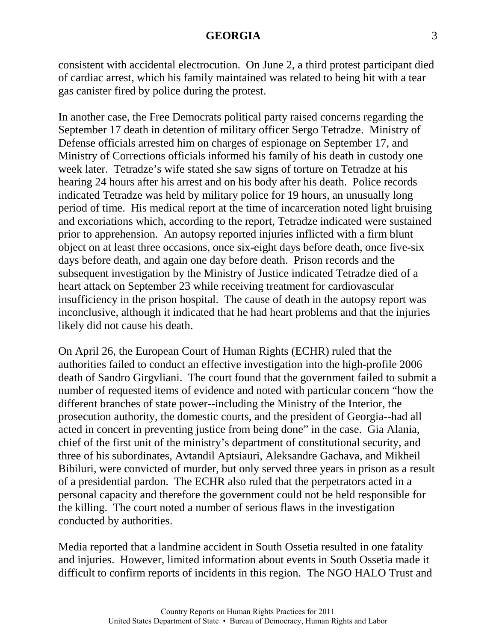consistent with accidental electrocution. On June 2, a third protest participant died of cardiac arrest, which his family maintained was related to being hit with a tear gas canister fired by police during the protest.

In another case, the Free Democrats political party raised concerns regarding the September 17 death in detention of military officer Sergo Tetradze. Ministry of Defense officials arrested him on charges of espionage on September 17, and Ministry of Corrections officials informed his family of his death in custody one week later. Tetradze's wife stated she saw signs of torture on Tetradze at his hearing 24 hours after his arrest and on his body after his death. Police records indicated Tetradze was held by military police for 19 hours, an unusually long period of time. His medical report at the time of incarceration noted light bruising and excoriations which, according to the report, Tetradze indicated were sustained prior to apprehension. An autopsy reported injuries inflicted with a firm blunt object on at least three occasions, once six-eight days before death, once five-six days before death, and again one day before death. Prison records and the subsequent investigation by the Ministry of Justice indicated Tetradze died of a heart attack on September 23 while receiving treatment for cardiovascular insufficiency in the prison hospital. The cause of death in the autopsy report was inconclusive, although it indicated that he had heart problems and that the injuries likely did not cause his death.

On April 26, the European Court of Human Rights (ECHR) ruled that the authorities failed to conduct an effective investigation into the high-profile 2006 death of Sandro Girgvliani. The court found that the government failed to submit a number of requested items of evidence and noted with particular concern "how the different branches of state power--including the Ministry of the Interior, the prosecution authority, the domestic courts, and the president of Georgia--had all acted in concert in preventing justice from being done" in the case. Gia Alania, chief of the first unit of the ministry's department of constitutional security, and three of his subordinates, Avtandil Aptsiauri, Aleksandre Gachava, and Mikheil Bibiluri, were convicted of murder, but only served three years in prison as a result of a presidential pardon. The ECHR also ruled that the perpetrators acted in a personal capacity and therefore the government could not be held responsible for the killing. The court noted a number of serious flaws in the investigation conducted by authorities.

Media reported that a landmine accident in South Ossetia resulted in one fatality and injuries. However, limited information about events in South Ossetia made it difficult to confirm reports of incidents in this region. The NGO HALO Trust and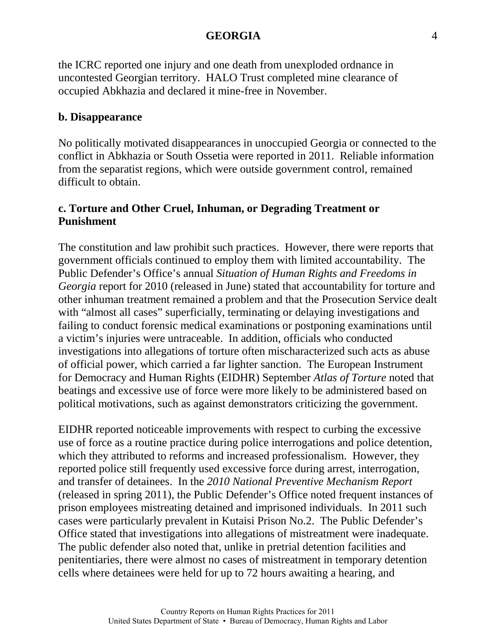the ICRC reported one injury and one death from unexploded ordnance in uncontested Georgian territory. HALO Trust completed mine clearance of occupied Abkhazia and declared it mine-free in November.

#### **b. Disappearance**

No politically motivated disappearances in unoccupied Georgia or connected to the conflict in Abkhazia or South Ossetia were reported in 2011. Reliable information from the separatist regions, which were outside government control, remained difficult to obtain.

# **c. Torture and Other Cruel, Inhuman, or Degrading Treatment or Punishment**

The constitution and law prohibit such practices. However, there were reports that government officials continued to employ them with limited accountability. The Public Defender's Office's annual *Situation of Human Rights and Freedoms in Georgia* report for 2010 (released in June) stated that accountability for torture and other inhuman treatment remained a problem and that the Prosecution Service dealt with "almost all cases" superficially, terminating or delaying investigations and failing to conduct forensic medical examinations or postponing examinations until a victim's injuries were untraceable. In addition, officials who conducted investigations into allegations of torture often mischaracterized such acts as abuse of official power, which carried a far lighter sanction. The European Instrument for Democracy and Human Rights (EIDHR) September *Atlas of Torture* noted that beatings and excessive use of force were more likely to be administered based on political motivations, such as against demonstrators criticizing the government.

EIDHR reported noticeable improvements with respect to curbing the excessive use of force as a routine practice during police interrogations and police detention, which they attributed to reforms and increased professionalism. However, they reported police still frequently used excessive force during arrest, interrogation, and transfer of detainees. In the *2010 National Preventive Mechanism Report* (released in spring 2011), the Public Defender's Office noted frequent instances of prison employees mistreating detained and imprisoned individuals. In 2011 such cases were particularly prevalent in Kutaisi Prison No.2. The Public Defender's Office stated that investigations into allegations of mistreatment were inadequate. The public defender also noted that, unlike in pretrial detention facilities and penitentiaries, there were almost no cases of mistreatment in temporary detention cells where detainees were held for up to 72 hours awaiting a hearing, and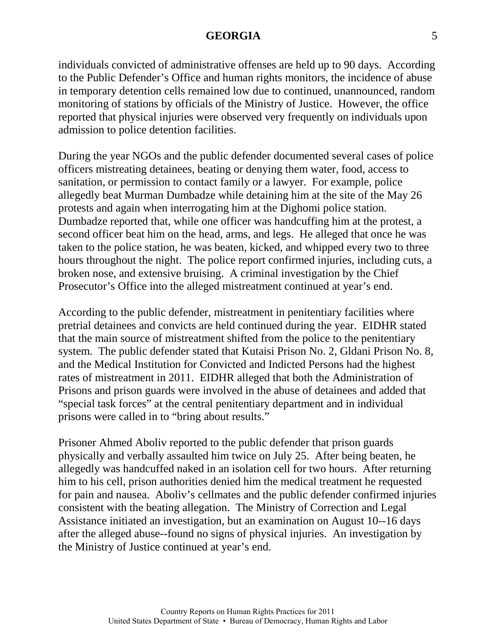individuals convicted of administrative offenses are held up to 90 days. According to the Public Defender's Office and human rights monitors, the incidence of abuse in temporary detention cells remained low due to continued, unannounced, random monitoring of stations by officials of the Ministry of Justice. However, the office reported that physical injuries were observed very frequently on individuals upon admission to police detention facilities.

During the year NGOs and the public defender documented several cases of police officers mistreating detainees, beating or denying them water, food, access to sanitation, or permission to contact family or a lawyer. For example, police allegedly beat Murman Dumbadze while detaining him at the site of the May 26 protests and again when interrogating him at the Dighomi police station. Dumbadze reported that, while one officer was handcuffing him at the protest, a second officer beat him on the head, arms, and legs. He alleged that once he was taken to the police station, he was beaten, kicked, and whipped every two to three hours throughout the night. The police report confirmed injuries, including cuts, a broken nose, and extensive bruising. A criminal investigation by the Chief Prosecutor's Office into the alleged mistreatment continued at year's end.

According to the public defender, mistreatment in penitentiary facilities where pretrial detainees and convicts are held continued during the year. EIDHR stated that the main source of mistreatment shifted from the police to the penitentiary system. The public defender stated that Kutaisi Prison No. 2, Gldani Prison No. 8, and the Medical Institution for Convicted and Indicted Persons had the highest rates of mistreatment in 2011. EIDHR alleged that both the Administration of Prisons and prison guards were involved in the abuse of detainees and added that "special task forces" at the central penitentiary department and in individual prisons were called in to "bring about results."

Prisoner Ahmed Aboliv reported to the public defender that prison guards physically and verbally assaulted him twice on July 25. After being beaten, he allegedly was handcuffed naked in an isolation cell for two hours. After returning him to his cell, prison authorities denied him the medical treatment he requested for pain and nausea. Aboliv's cellmates and the public defender confirmed injuries consistent with the beating allegation. The Ministry of Correction and Legal Assistance initiated an investigation, but an examination on August 10--16 days after the alleged abuse--found no signs of physical injuries. An investigation by the Ministry of Justice continued at year's end.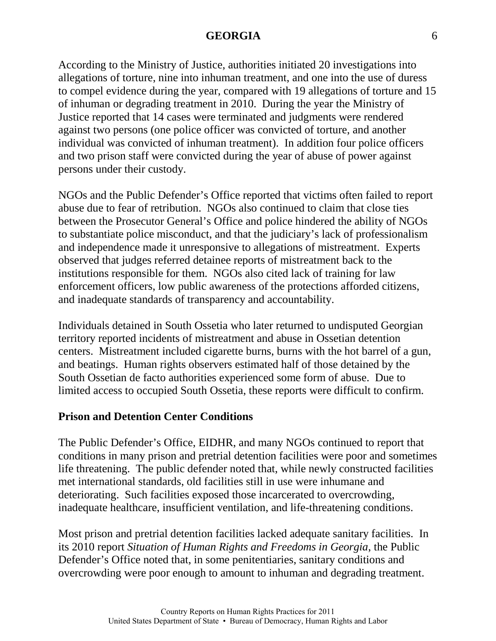According to the Ministry of Justice, authorities initiated 20 investigations into allegations of torture, nine into inhuman treatment, and one into the use of duress to compel evidence during the year, compared with 19 allegations of torture and 15 of inhuman or degrading treatment in 2010. During the year the Ministry of Justice reported that 14 cases were terminated and judgments were rendered against two persons (one police officer was convicted of torture, and another individual was convicted of inhuman treatment). In addition four police officers and two prison staff were convicted during the year of abuse of power against persons under their custody.

NGOs and the Public Defender's Office reported that victims often failed to report abuse due to fear of retribution. NGOs also continued to claim that close ties between the Prosecutor General's Office and police hindered the ability of NGOs to substantiate police misconduct, and that the judiciary's lack of professionalism and independence made it unresponsive to allegations of mistreatment. Experts observed that judges referred detainee reports of mistreatment back to the institutions responsible for them. NGOs also cited lack of training for law enforcement officers, low public awareness of the protections afforded citizens, and inadequate standards of transparency and accountability.

Individuals detained in South Ossetia who later returned to undisputed Georgian territory reported incidents of mistreatment and abuse in Ossetian detention centers. Mistreatment included cigarette burns, burns with the hot barrel of a gun, and beatings. Human rights observers estimated half of those detained by the South Ossetian de facto authorities experienced some form of abuse. Due to limited access to occupied South Ossetia, these reports were difficult to confirm.

### **Prison and Detention Center Conditions**

The Public Defender's Office, EIDHR, and many NGOs continued to report that conditions in many prison and pretrial detention facilities were poor and sometimes life threatening. The public defender noted that, while newly constructed facilities met international standards, old facilities still in use were inhumane and deteriorating. Such facilities exposed those incarcerated to overcrowding, inadequate healthcare, insufficient ventilation, and life-threatening conditions.

Most prison and pretrial detention facilities lacked adequate sanitary facilities. In its 2010 report *Situation of Human Rights and Freedoms in Georgia*, the Public Defender's Office noted that, in some penitentiaries, sanitary conditions and overcrowding were poor enough to amount to inhuman and degrading treatment.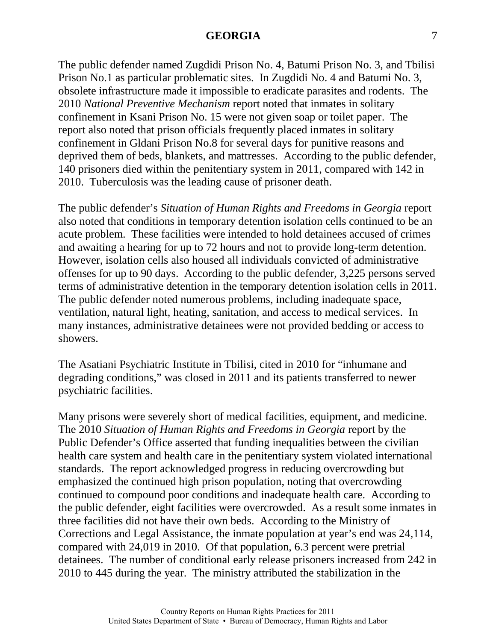The public defender named Zugdidi Prison No. 4, Batumi Prison No. 3, and Tbilisi Prison No.1 as particular problematic sites. In Zugdidi No. 4 and Batumi No. 3, obsolete infrastructure made it impossible to eradicate parasites and rodents. The 2010 *National Preventive Mechanism* report noted that inmates in solitary confinement in Ksani Prison No. 15 were not given soap or toilet paper. The report also noted that prison officials frequently placed inmates in solitary confinement in Gldani Prison No.8 for several days for punitive reasons and deprived them of beds, blankets, and mattresses. According to the public defender, 140 prisoners died within the penitentiary system in 2011, compared with 142 in 2010. Tuberculosis was the leading cause of prisoner death.

The public defender's *Situation of Human Rights and Freedoms in Georgia* report also noted that conditions in temporary detention isolation cells continued to be an acute problem. These facilities were intended to hold detainees accused of crimes and awaiting a hearing for up to 72 hours and not to provide long-term detention. However, isolation cells also housed all individuals convicted of administrative offenses for up to 90 days. According to the public defender, 3,225 persons served terms of administrative detention in the temporary detention isolation cells in 2011. The public defender noted numerous problems, including inadequate space, ventilation, natural light, heating, sanitation, and access to medical services. In many instances, administrative detainees were not provided bedding or access to showers.

The Asatiani Psychiatric Institute in Tbilisi, cited in 2010 for "inhumane and degrading conditions," was closed in 2011 and its patients transferred to newer psychiatric facilities.

Many prisons were severely short of medical facilities, equipment, and medicine. The 2010 *Situation of Human Rights and Freedoms in Georgia* report by the Public Defender's Office asserted that funding inequalities between the civilian health care system and health care in the penitentiary system violated international standards. The report acknowledged progress in reducing overcrowding but emphasized the continued high prison population, noting that overcrowding continued to compound poor conditions and inadequate health care. According to the public defender, eight facilities were overcrowded. As a result some inmates in three facilities did not have their own beds. According to the Ministry of Corrections and Legal Assistance, the inmate population at year's end was 24,114, compared with 24,019 in 2010. Of that population, 6.3 percent were pretrial detainees. The number of conditional early release prisoners increased from 242 in 2010 to 445 during the year. The ministry attributed the stabilization in the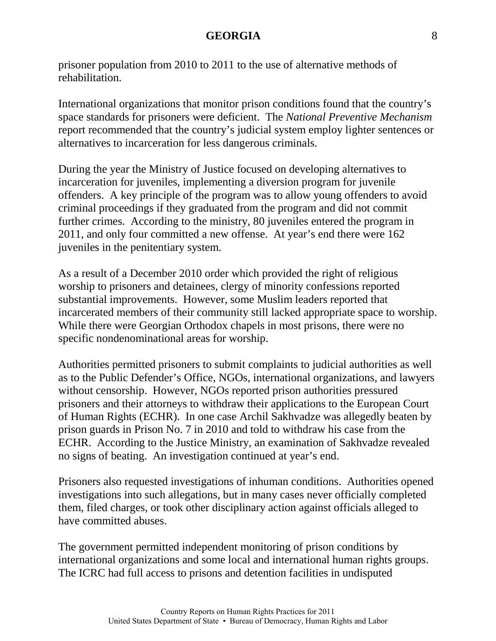prisoner population from 2010 to 2011 to the use of alternative methods of rehabilitation.

International organizations that monitor prison conditions found that the country's space standards for prisoners were deficient. The *National Preventive Mechanism* report recommended that the country's judicial system employ lighter sentences or alternatives to incarceration for less dangerous criminals.

During the year the Ministry of Justice focused on developing alternatives to incarceration for juveniles, implementing a diversion program for juvenile offenders. A key principle of the program was to allow young offenders to avoid criminal proceedings if they graduated from the program and did not commit further crimes. According to the ministry, 80 juveniles entered the program in 2011, and only four committed a new offense. At year's end there were 162 juveniles in the penitentiary system.

As a result of a December 2010 order which provided the right of religious worship to prisoners and detainees, clergy of minority confessions reported substantial improvements. However, some Muslim leaders reported that incarcerated members of their community still lacked appropriate space to worship. While there were Georgian Orthodox chapels in most prisons, there were no specific nondenominational areas for worship.

Authorities permitted prisoners to submit complaints to judicial authorities as well as to the Public Defender's Office, NGOs, international organizations, and lawyers without censorship. However, NGOs reported prison authorities pressured prisoners and their attorneys to withdraw their applications to the European Court of Human Rights (ECHR). In one case Archil Sakhvadze was allegedly beaten by prison guards in Prison No. 7 in 2010 and told to withdraw his case from the ECHR. According to the Justice Ministry, an examination of Sakhvadze revealed no signs of beating. An investigation continued at year's end.

Prisoners also requested investigations of inhuman conditions. Authorities opened investigations into such allegations, but in many cases never officially completed them, filed charges, or took other disciplinary action against officials alleged to have committed abuses.

The government permitted independent monitoring of prison conditions by international organizations and some local and international human rights groups. The ICRC had full access to prisons and detention facilities in undisputed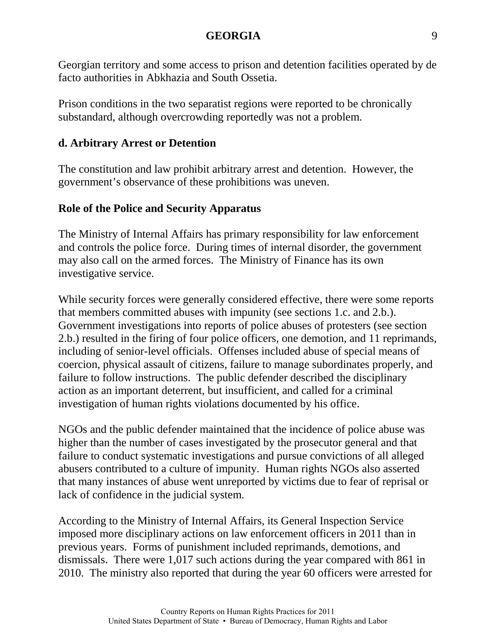Georgian territory and some access to prison and detention facilities operated by de facto authorities in Abkhazia and South Ossetia.

Prison conditions in the two separatist regions were reported to be chronically substandard, although overcrowding reportedly was not a problem.

# **d. Arbitrary Arrest or Detention**

The constitution and law prohibit arbitrary arrest and detention. However, the government's observance of these prohibitions was uneven.

# **Role of the Police and Security Apparatus**

The Ministry of Internal Affairs has primary responsibility for law enforcement and controls the police force. During times of internal disorder, the government may also call on the armed forces. The Ministry of Finance has its own investigative service.

While security forces were generally considered effective, there were some reports that members committed abuses with impunity (see sections 1.c. and 2.b.). Government investigations into reports of police abuses of protesters (see section 2.b.) resulted in the firing of four police officers, one demotion, and 11 reprimands, including of senior-level officials. Offenses included abuse of special means of coercion, physical assault of citizens, failure to manage subordinates properly, and failure to follow instructions. The public defender described the disciplinary action as an important deterrent, but insufficient, and called for a criminal investigation of human rights violations documented by his office.

NGOs and the public defender maintained that the incidence of police abuse was higher than the number of cases investigated by the prosecutor general and that failure to conduct systematic investigations and pursue convictions of all alleged abusers contributed to a culture of impunity. Human rights NGOs also asserted that many instances of abuse went unreported by victims due to fear of reprisal or lack of confidence in the judicial system.

According to the Ministry of Internal Affairs, its General Inspection Service imposed more disciplinary actions on law enforcement officers in 2011 than in previous years. Forms of punishment included reprimands, demotions, and dismissals. There were 1,017 such actions during the year compared with 861 in 2010. The ministry also reported that during the year 60 officers were arrested for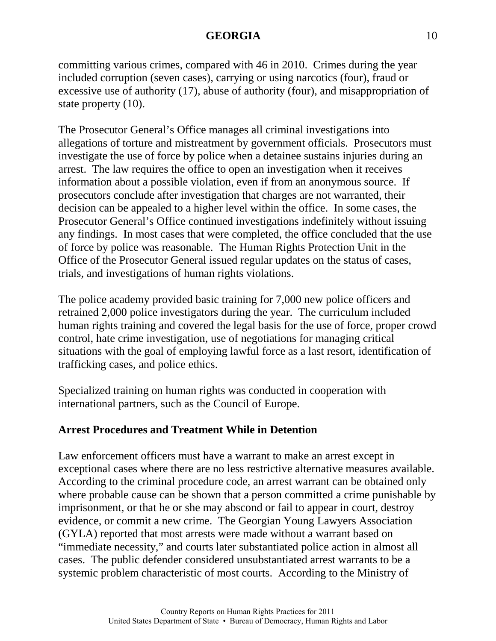committing various crimes, compared with 46 in 2010. Crimes during the year included corruption (seven cases), carrying or using narcotics (four), fraud or excessive use of authority (17), abuse of authority (four), and misappropriation of state property (10).

The Prosecutor General's Office manages all criminal investigations into allegations of torture and mistreatment by government officials. Prosecutors must investigate the use of force by police when a detainee sustains injuries during an arrest. The law requires the office to open an investigation when it receives information about a possible violation, even if from an anonymous source. If prosecutors conclude after investigation that charges are not warranted, their decision can be appealed to a higher level within the office. In some cases, the Prosecutor General's Office continued investigations indefinitely without issuing any findings. In most cases that were completed, the office concluded that the use of force by police was reasonable. The Human Rights Protection Unit in the Office of the Prosecutor General issued regular updates on the status of cases, trials, and investigations of human rights violations.

The police academy provided basic training for 7,000 new police officers and retrained 2,000 police investigators during the year. The curriculum included human rights training and covered the legal basis for the use of force, proper crowd control, hate crime investigation, use of negotiations for managing critical situations with the goal of employing lawful force as a last resort, identification of trafficking cases, and police ethics.

Specialized training on human rights was conducted in cooperation with international partners, such as the Council of Europe.

### **Arrest Procedures and Treatment While in Detention**

Law enforcement officers must have a warrant to make an arrest except in exceptional cases where there are no less restrictive alternative measures available. According to the criminal procedure code, an arrest warrant can be obtained only where probable cause can be shown that a person committed a crime punishable by imprisonment, or that he or she may abscond or fail to appear in court, destroy evidence, or commit a new crime. The Georgian Young Lawyers Association (GYLA) reported that most arrests were made without a warrant based on "immediate necessity," and courts later substantiated police action in almost all cases. The public defender considered unsubstantiated arrest warrants to be a systemic problem characteristic of most courts. According to the Ministry of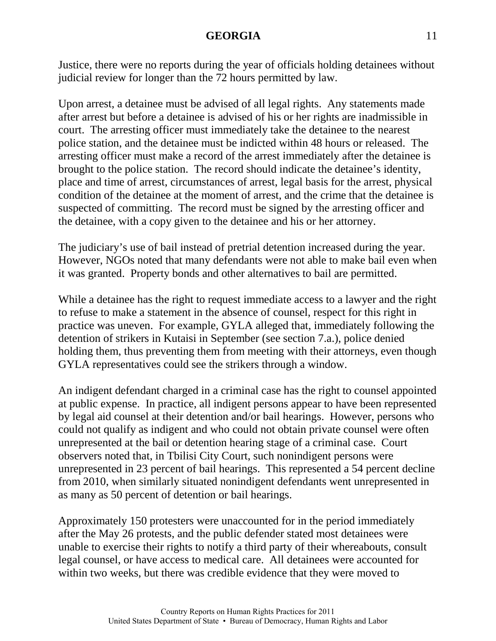Justice, there were no reports during the year of officials holding detainees without judicial review for longer than the 72 hours permitted by law.

Upon arrest, a detainee must be advised of all legal rights. Any statements made after arrest but before a detainee is advised of his or her rights are inadmissible in court. The arresting officer must immediately take the detainee to the nearest police station, and the detainee must be indicted within 48 hours or released. The arresting officer must make a record of the arrest immediately after the detainee is brought to the police station. The record should indicate the detainee's identity, place and time of arrest, circumstances of arrest, legal basis for the arrest, physical condition of the detainee at the moment of arrest, and the crime that the detainee is suspected of committing. The record must be signed by the arresting officer and the detainee, with a copy given to the detainee and his or her attorney.

The judiciary's use of bail instead of pretrial detention increased during the year. However, NGOs noted that many defendants were not able to make bail even when it was granted. Property bonds and other alternatives to bail are permitted.

While a detainee has the right to request immediate access to a lawyer and the right to refuse to make a statement in the absence of counsel, respect for this right in practice was uneven. For example, GYLA alleged that, immediately following the detention of strikers in Kutaisi in September (see section 7.a.), police denied holding them, thus preventing them from meeting with their attorneys, even though GYLA representatives could see the strikers through a window.

An indigent defendant charged in a criminal case has the right to counsel appointed at public expense. In practice, all indigent persons appear to have been represented by legal aid counsel at their detention and/or bail hearings. However, persons who could not qualify as indigent and who could not obtain private counsel were often unrepresented at the bail or detention hearing stage of a criminal case. Court observers noted that, in Tbilisi City Court, such nonindigent persons were unrepresented in 23 percent of bail hearings. This represented a 54 percent decline from 2010, when similarly situated nonindigent defendants went unrepresented in as many as 50 percent of detention or bail hearings.

Approximately 150 protesters were unaccounted for in the period immediately after the May 26 protests, and the public defender stated most detainees were unable to exercise their rights to notify a third party of their whereabouts, consult legal counsel, or have access to medical care. All detainees were accounted for within two weeks, but there was credible evidence that they were moved to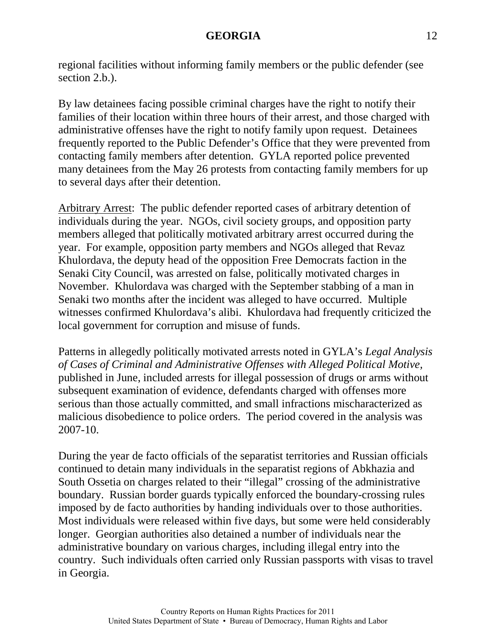regional facilities without informing family members or the public defender (see section 2.b.).

By law detainees facing possible criminal charges have the right to notify their families of their location within three hours of their arrest, and those charged with administrative offenses have the right to notify family upon request. Detainees frequently reported to the Public Defender's Office that they were prevented from contacting family members after detention. GYLA reported police prevented many detainees from the May 26 protests from contacting family members for up to several days after their detention.

Arbitrary Arrest: The public defender reported cases of arbitrary detention of individuals during the year. NGOs, civil society groups, and opposition party members alleged that politically motivated arbitrary arrest occurred during the year. For example, opposition party members and NGOs alleged that Revaz Khulordava, the deputy head of the opposition Free Democrats faction in the Senaki City Council, was arrested on false, politically motivated charges in November. Khulordava was charged with the September stabbing of a man in Senaki two months after the incident was alleged to have occurred. Multiple witnesses confirmed Khulordava's alibi. Khulordava had frequently criticized the local government for corruption and misuse of funds.

Patterns in allegedly politically motivated arrests noted in GYLA's *Legal Analysis of Cases of Criminal and Administrative Offenses with Alleged Political Motive,* published in June, included arrests for illegal possession of drugs or arms without subsequent examination of evidence, defendants charged with offenses more serious than those actually committed, and small infractions mischaracterized as malicious disobedience to police orders. The period covered in the analysis was 2007-10.

During the year de facto officials of the separatist territories and Russian officials continued to detain many individuals in the separatist regions of Abkhazia and South Ossetia on charges related to their "illegal" crossing of the administrative boundary. Russian border guards typically enforced the boundary-crossing rules imposed by de facto authorities by handing individuals over to those authorities. Most individuals were released within five days, but some were held considerably longer. Georgian authorities also detained a number of individuals near the administrative boundary on various charges, including illegal entry into the country. Such individuals often carried only Russian passports with visas to travel in Georgia.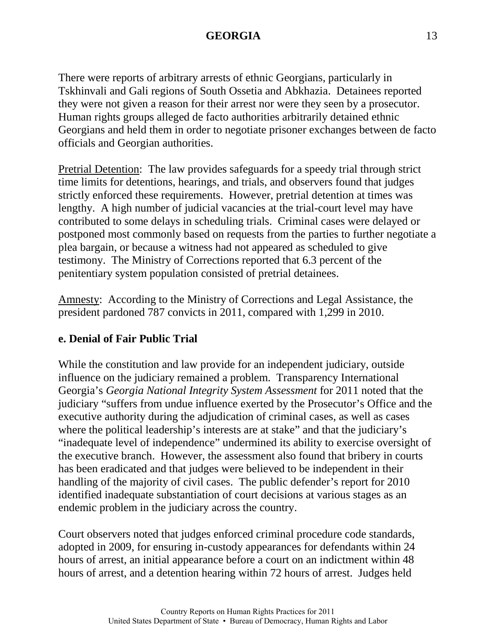There were reports of arbitrary arrests of ethnic Georgians, particularly in Tskhinvali and Gali regions of South Ossetia and Abkhazia. Detainees reported they were not given a reason for their arrest nor were they seen by a prosecutor. Human rights groups alleged de facto authorities arbitrarily detained ethnic Georgians and held them in order to negotiate prisoner exchanges between de facto officials and Georgian authorities.

Pretrial Detention: The law provides safeguards for a speedy trial through strict time limits for detentions, hearings, and trials, and observers found that judges strictly enforced these requirements. However, pretrial detention at times was lengthy. A high number of judicial vacancies at the trial-court level may have contributed to some delays in scheduling trials. Criminal cases were delayed or postponed most commonly based on requests from the parties to further negotiate a plea bargain, or because a witness had not appeared as scheduled to give testimony. The Ministry of Corrections reported that 6.3 percent of the penitentiary system population consisted of pretrial detainees.

Amnesty: According to the Ministry of Corrections and Legal Assistance, the president pardoned 787 convicts in 2011, compared with 1,299 in 2010.

# **e. Denial of Fair Public Trial**

While the constitution and law provide for an independent judiciary, outside influence on the judiciary remained a problem. Transparency International Georgia's *Georgia National Integrity System Assessment* for 2011 noted that the judiciary "suffers from undue influence exerted by the Prosecutor's Office and the executive authority during the adjudication of criminal cases, as well as cases where the political leadership's interests are at stake" and that the judiciary's "inadequate level of independence" undermined its ability to exercise oversight of the executive branch. However, the assessment also found that bribery in courts has been eradicated and that judges were believed to be independent in their handling of the majority of civil cases. The public defender's report for 2010 identified inadequate substantiation of court decisions at various stages as an endemic problem in the judiciary across the country.

Court observers noted that judges enforced criminal procedure code standards, adopted in 2009, for ensuring in-custody appearances for defendants within 24 hours of arrest, an initial appearance before a court on an indictment within 48 hours of arrest, and a detention hearing within 72 hours of arrest. Judges held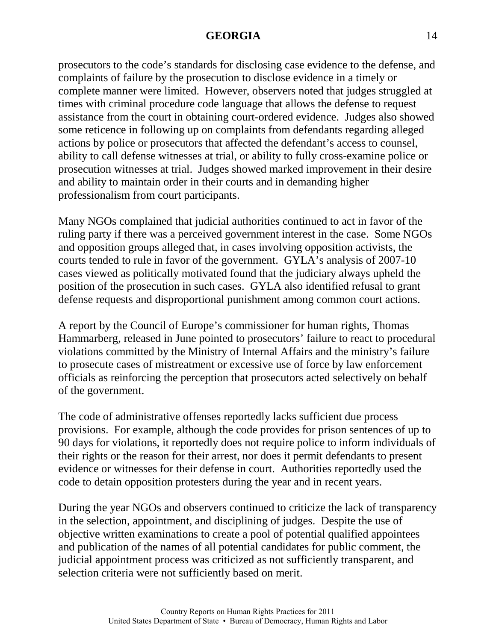prosecutors to the code's standards for disclosing case evidence to the defense, and complaints of failure by the prosecution to disclose evidence in a timely or complete manner were limited. However, observers noted that judges struggled at times with criminal procedure code language that allows the defense to request assistance from the court in obtaining court-ordered evidence. Judges also showed some reticence in following up on complaints from defendants regarding alleged actions by police or prosecutors that affected the defendant's access to counsel, ability to call defense witnesses at trial, or ability to fully cross-examine police or prosecution witnesses at trial. Judges showed marked improvement in their desire and ability to maintain order in their courts and in demanding higher professionalism from court participants.

Many NGOs complained that judicial authorities continued to act in favor of the ruling party if there was a perceived government interest in the case. Some NGOs and opposition groups alleged that, in cases involving opposition activists, the courts tended to rule in favor of the government. GYLA's analysis of 2007-10 cases viewed as politically motivated found that the judiciary always upheld the position of the prosecution in such cases. GYLA also identified refusal to grant defense requests and disproportional punishment among common court actions.

A report by the Council of Europe's commissioner for human rights, Thomas Hammarberg, released in June pointed to prosecutors' failure to react to procedural violations committed by the Ministry of Internal Affairs and the ministry's failure to prosecute cases of mistreatment or excessive use of force by law enforcement officials as reinforcing the perception that prosecutors acted selectively on behalf of the government.

The code of administrative offenses reportedly lacks sufficient due process provisions. For example, although the code provides for prison sentences of up to 90 days for violations, it reportedly does not require police to inform individuals of their rights or the reason for their arrest, nor does it permit defendants to present evidence or witnesses for their defense in court. Authorities reportedly used the code to detain opposition protesters during the year and in recent years.

During the year NGOs and observers continued to criticize the lack of transparency in the selection, appointment, and disciplining of judges. Despite the use of objective written examinations to create a pool of potential qualified appointees and publication of the names of all potential candidates for public comment, the judicial appointment process was criticized as not sufficiently transparent, and selection criteria were not sufficiently based on merit.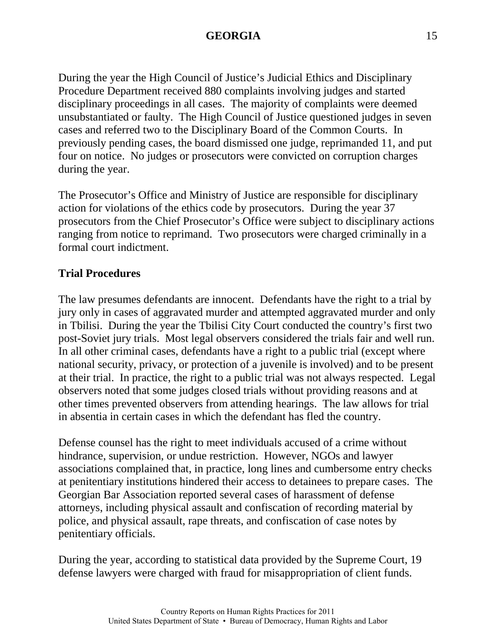During the year the High Council of Justice's Judicial Ethics and Disciplinary Procedure Department received 880 complaints involving judges and started disciplinary proceedings in all cases. The majority of complaints were deemed unsubstantiated or faulty. The High Council of Justice questioned judges in seven cases and referred two to the Disciplinary Board of the Common Courts. In previously pending cases, the board dismissed one judge, reprimanded 11, and put four on notice. No judges or prosecutors were convicted on corruption charges during the year.

The Prosecutor's Office and Ministry of Justice are responsible for disciplinary action for violations of the ethics code by prosecutors. During the year 37 prosecutors from the Chief Prosecutor's Office were subject to disciplinary actions ranging from notice to reprimand. Two prosecutors were charged criminally in a formal court indictment.

### **Trial Procedures**

The law presumes defendants are innocent. Defendants have the right to a trial by jury only in cases of aggravated murder and attempted aggravated murder and only in Tbilisi. During the year the Tbilisi City Court conducted the country's first two post-Soviet jury trials. Most legal observers considered the trials fair and well run. In all other criminal cases, defendants have a right to a public trial (except where national security, privacy, or protection of a juvenile is involved) and to be present at their trial. In practice, the right to a public trial was not always respected. Legal observers noted that some judges closed trials without providing reasons and at other times prevented observers from attending hearings. The law allows for trial in absentia in certain cases in which the defendant has fled the country.

Defense counsel has the right to meet individuals accused of a crime without hindrance, supervision, or undue restriction. However, NGOs and lawyer associations complained that, in practice, long lines and cumbersome entry checks at penitentiary institutions hindered their access to detainees to prepare cases. The Georgian Bar Association reported several cases of harassment of defense attorneys, including physical assault and confiscation of recording material by police, and physical assault, rape threats, and confiscation of case notes by penitentiary officials.

During the year, according to statistical data provided by the Supreme Court, 19 defense lawyers were charged with fraud for misappropriation of client funds.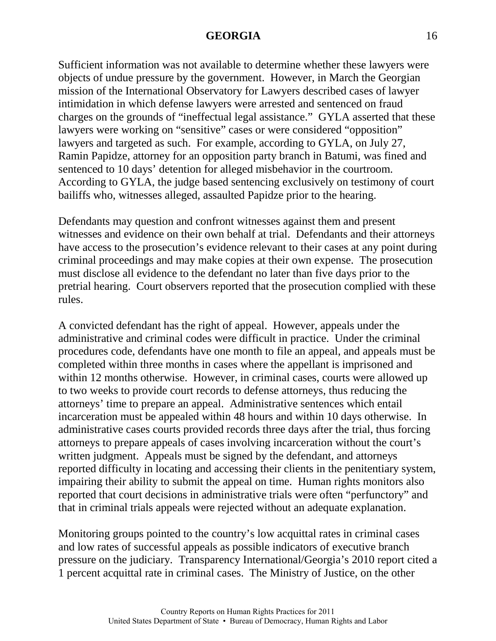Sufficient information was not available to determine whether these lawyers were objects of undue pressure by the government. However, in March the Georgian mission of the International Observatory for Lawyers described cases of lawyer intimidation in which defense lawyers were arrested and sentenced on fraud charges on the grounds of "ineffectual legal assistance." GYLA asserted that these lawyers were working on "sensitive" cases or were considered "opposition" lawyers and targeted as such. For example, according to GYLA, on July 27, Ramin Papidze, attorney for an opposition party branch in Batumi, was fined and sentenced to 10 days' detention for alleged misbehavior in the courtroom. According to GYLA, the judge based sentencing exclusively on testimony of court bailiffs who, witnesses alleged, assaulted Papidze prior to the hearing.

Defendants may question and confront witnesses against them and present witnesses and evidence on their own behalf at trial. Defendants and their attorneys have access to the prosecution's evidence relevant to their cases at any point during criminal proceedings and may make copies at their own expense. The prosecution must disclose all evidence to the defendant no later than five days prior to the pretrial hearing. Court observers reported that the prosecution complied with these rules.

A convicted defendant has the right of appeal. However, appeals under the administrative and criminal codes were difficult in practice. Under the criminal procedures code, defendants have one month to file an appeal, and appeals must be completed within three months in cases where the appellant is imprisoned and within 12 months otherwise. However, in criminal cases, courts were allowed up to two weeks to provide court records to defense attorneys, thus reducing the attorneys' time to prepare an appeal. Administrative sentences which entail incarceration must be appealed within 48 hours and within 10 days otherwise. In administrative cases courts provided records three days after the trial, thus forcing attorneys to prepare appeals of cases involving incarceration without the court's written judgment. Appeals must be signed by the defendant, and attorneys reported difficulty in locating and accessing their clients in the penitentiary system, impairing their ability to submit the appeal on time. Human rights monitors also reported that court decisions in administrative trials were often "perfunctory" and that in criminal trials appeals were rejected without an adequate explanation.

Monitoring groups pointed to the country's low acquittal rates in criminal cases and low rates of successful appeals as possible indicators of executive branch pressure on the judiciary. Transparency International/Georgia's 2010 report cited a 1 percent acquittal rate in criminal cases. The Ministry of Justice, on the other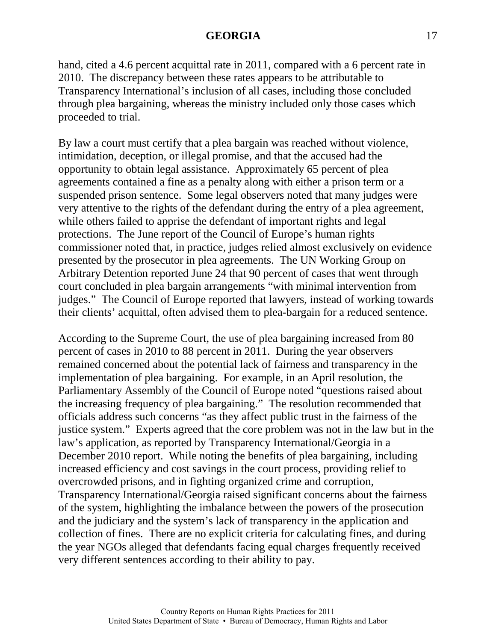hand, cited a 4.6 percent acquittal rate in 2011, compared with a 6 percent rate in 2010. The discrepancy between these rates appears to be attributable to Transparency International's inclusion of all cases, including those concluded through plea bargaining, whereas the ministry included only those cases which proceeded to trial.

By law a court must certify that a plea bargain was reached without violence, intimidation, deception, or illegal promise, and that the accused had the opportunity to obtain legal assistance. Approximately 65 percent of plea agreements contained a fine as a penalty along with either a prison term or a suspended prison sentence. Some legal observers noted that many judges were very attentive to the rights of the defendant during the entry of a plea agreement, while others failed to apprise the defendant of important rights and legal protections. The June report of the Council of Europe's human rights commissioner noted that, in practice, judges relied almost exclusively on evidence presented by the prosecutor in plea agreements. The UN Working Group on Arbitrary Detention reported June 24 that 90 percent of cases that went through court concluded in plea bargain arrangements "with minimal intervention from judges." The Council of Europe reported that lawyers, instead of working towards their clients' acquittal, often advised them to plea-bargain for a reduced sentence.

According to the Supreme Court, the use of plea bargaining increased from 80 percent of cases in 2010 to 88 percent in 2011. During the year observers remained concerned about the potential lack of fairness and transparency in the implementation of plea bargaining. For example, in an April resolution, the Parliamentary Assembly of the Council of Europe noted "questions raised about the increasing frequency of plea bargaining." The resolution recommended that officials address such concerns "as they affect public trust in the fairness of the justice system." Experts agreed that the core problem was not in the law but in the law's application, as reported by Transparency International/Georgia in a December 2010 report. While noting the benefits of plea bargaining, including increased efficiency and cost savings in the court process, providing relief to overcrowded prisons, and in fighting organized crime and corruption, Transparency International/Georgia raised significant concerns about the fairness of the system, highlighting the imbalance between the powers of the prosecution and the judiciary and the system's lack of transparency in the application and collection of fines. There are no explicit criteria for calculating fines, and during the year NGOs alleged that defendants facing equal charges frequently received very different sentences according to their ability to pay.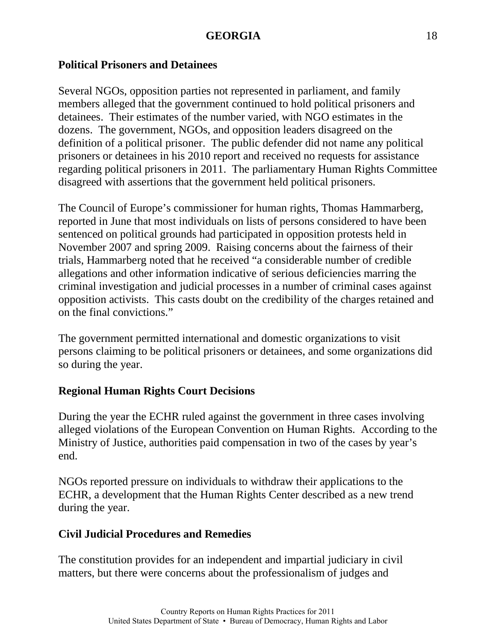### **Political Prisoners and Detainees**

Several NGOs, opposition parties not represented in parliament, and family members alleged that the government continued to hold political prisoners and detainees. Their estimates of the number varied, with NGO estimates in the dozens. The government, NGOs, and opposition leaders disagreed on the definition of a political prisoner. The public defender did not name any political prisoners or detainees in his 2010 report and received no requests for assistance regarding political prisoners in 2011. The parliamentary Human Rights Committee disagreed with assertions that the government held political prisoners.

The Council of Europe's commissioner for human rights, Thomas Hammarberg, reported in June that most individuals on lists of persons considered to have been sentenced on political grounds had participated in opposition protests held in November 2007 and spring 2009. Raising concerns about the fairness of their trials, Hammarberg noted that he received "a considerable number of credible allegations and other information indicative of serious deficiencies marring the criminal investigation and judicial processes in a number of criminal cases against opposition activists. This casts doubt on the credibility of the charges retained and on the final convictions."

The government permitted international and domestic organizations to visit persons claiming to be political prisoners or detainees, and some organizations did so during the year.

# **Regional Human Rights Court Decisions**

During the year the ECHR ruled against the government in three cases involving alleged violations of the European Convention on Human Rights. According to the Ministry of Justice, authorities paid compensation in two of the cases by year's end.

NGOs reported pressure on individuals to withdraw their applications to the ECHR, a development that the Human Rights Center described as a new trend during the year.

# **Civil Judicial Procedures and Remedies**

The constitution provides for an independent and impartial judiciary in civil matters, but there were concerns about the professionalism of judges and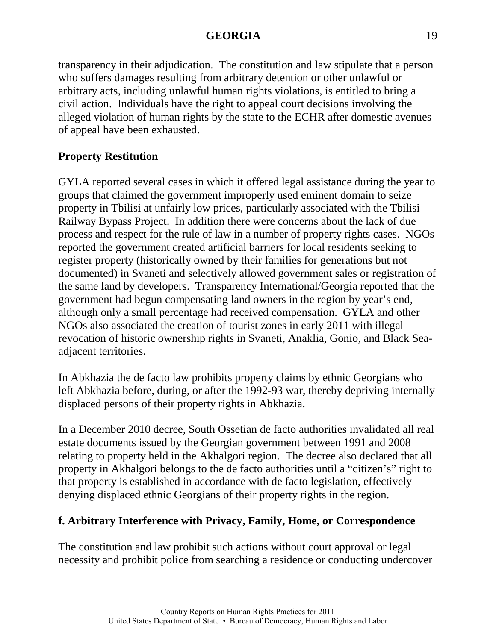transparency in their adjudication. The constitution and law stipulate that a person who suffers damages resulting from arbitrary detention or other unlawful or arbitrary acts, including unlawful human rights violations, is entitled to bring a civil action. Individuals have the right to appeal court decisions involving the alleged violation of human rights by the state to the ECHR after domestic avenues of appeal have been exhausted.

# **Property Restitution**

GYLA reported several cases in which it offered legal assistance during the year to groups that claimed the government improperly used eminent domain to seize property in Tbilisi at unfairly low prices, particularly associated with the Tbilisi Railway Bypass Project. In addition there were concerns about the lack of due process and respect for the rule of law in a number of property rights cases. NGOs reported the government created artificial barriers for local residents seeking to register property (historically owned by their families for generations but not documented) in Svaneti and selectively allowed government sales or registration of the same land by developers. Transparency International/Georgia reported that the government had begun compensating land owners in the region by year's end, although only a small percentage had received compensation. GYLA and other NGOs also associated the creation of tourist zones in early 2011 with illegal revocation of historic ownership rights in Svaneti, Anaklia, Gonio, and Black Seaadjacent territories.

In Abkhazia the de facto law prohibits property claims by ethnic Georgians who left Abkhazia before, during, or after the 1992-93 war, thereby depriving internally displaced persons of their property rights in Abkhazia.

In a December 2010 decree, South Ossetian de facto authorities invalidated all real estate documents issued by the Georgian government between 1991 and 2008 relating to property held in the Akhalgori region. The decree also declared that all property in Akhalgori belongs to the de facto authorities until a "citizen's" right to that property is established in accordance with de facto legislation, effectively denying displaced ethnic Georgians of their property rights in the region.

# **f. Arbitrary Interference with Privacy, Family, Home, or Correspondence**

The constitution and law prohibit such actions without court approval or legal necessity and prohibit police from searching a residence or conducting undercover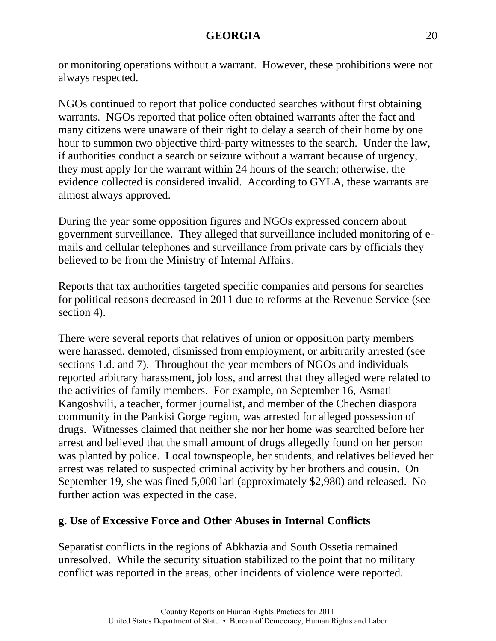or monitoring operations without a warrant. However, these prohibitions were not always respected.

NGOs continued to report that police conducted searches without first obtaining warrants. NGOs reported that police often obtained warrants after the fact and many citizens were unaware of their right to delay a search of their home by one hour to summon two objective third-party witnesses to the search. Under the law, if authorities conduct a search or seizure without a warrant because of urgency, they must apply for the warrant within 24 hours of the search; otherwise, the evidence collected is considered invalid. According to GYLA, these warrants are almost always approved.

During the year some opposition figures and NGOs expressed concern about government surveillance. They alleged that surveillance included monitoring of emails and cellular telephones and surveillance from private cars by officials they believed to be from the Ministry of Internal Affairs.

Reports that tax authorities targeted specific companies and persons for searches for political reasons decreased in 2011 due to reforms at the Revenue Service (see section 4).

There were several reports that relatives of union or opposition party members were harassed, demoted, dismissed from employment, or arbitrarily arrested (see sections 1.d. and 7). Throughout the year members of NGOs and individuals reported arbitrary harassment, job loss, and arrest that they alleged were related to the activities of family members. For example, on September 16, Asmati Kangoshvili, a teacher, former journalist, and member of the Chechen diaspora community in the Pankisi Gorge region, was arrested for alleged possession of drugs. Witnesses claimed that neither she nor her home was searched before her arrest and believed that the small amount of drugs allegedly found on her person was planted by police. Local townspeople, her students, and relatives believed her arrest was related to suspected criminal activity by her brothers and cousin. On September 19, she was fined 5,000 lari (approximately \$2,980) and released. No further action was expected in the case.

### **g. Use of Excessive Force and Other Abuses in Internal Conflicts**

Separatist conflicts in the regions of Abkhazia and South Ossetia remained unresolved. While the security situation stabilized to the point that no military conflict was reported in the areas, other incidents of violence were reported.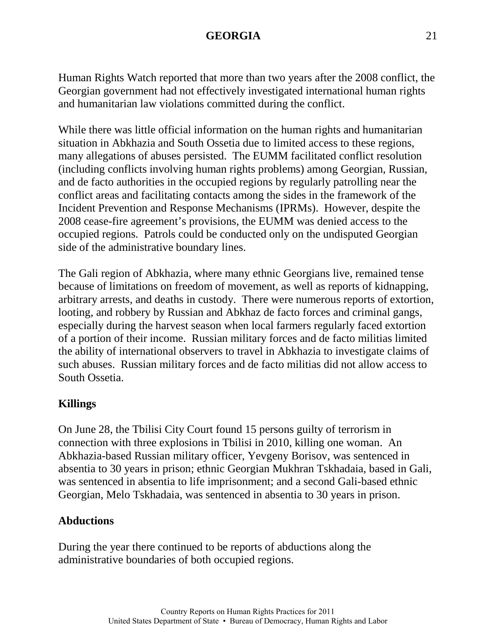Human Rights Watch reported that more than two years after the 2008 conflict, the Georgian government had not effectively investigated international human rights and humanitarian law violations committed during the conflict.

While there was little official information on the human rights and humanitarian situation in Abkhazia and South Ossetia due to limited access to these regions, many allegations of abuses persisted. The EUMM facilitated conflict resolution (including conflicts involving human rights problems) among Georgian, Russian, and de facto authorities in the occupied regions by regularly patrolling near the conflict areas and facilitating contacts among the sides in the framework of the Incident Prevention and Response Mechanisms (IPRMs). However, despite the 2008 cease-fire agreement's provisions, the EUMM was denied access to the occupied regions. Patrols could be conducted only on the undisputed Georgian side of the administrative boundary lines.

The Gali region of Abkhazia, where many ethnic Georgians live, remained tense because of limitations on freedom of movement, as well as reports of kidnapping, arbitrary arrests, and deaths in custody. There were numerous reports of extortion, looting, and robbery by Russian and Abkhaz de facto forces and criminal gangs, especially during the harvest season when local farmers regularly faced extortion of a portion of their income. Russian military forces and de facto militias limited the ability of international observers to travel in Abkhazia to investigate claims of such abuses. Russian military forces and de facto militias did not allow access to South Ossetia.

# **Killings**

On June 28, the Tbilisi City Court found 15 persons guilty of terrorism in connection with three explosions in Tbilisi in 2010, killing one woman. An Abkhazia-based Russian military officer, Yevgeny Borisov, was sentenced in absentia to 30 years in prison; ethnic Georgian Mukhran Tskhadaia, based in Gali, was sentenced in absentia to life imprisonment; and a second Gali-based ethnic Georgian, Melo Tskhadaia, was sentenced in absentia to 30 years in prison.

# **Abductions**

During the year there continued to be reports of abductions along the administrative boundaries of both occupied regions.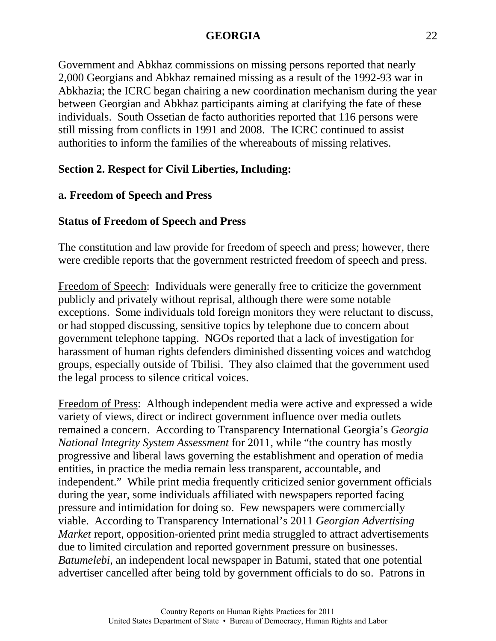Government and Abkhaz commissions on missing persons reported that nearly 2,000 Georgians and Abkhaz remained missing as a result of the 1992-93 war in Abkhazia; the ICRC began chairing a new coordination mechanism during the year between Georgian and Abkhaz participants aiming at clarifying the fate of these individuals. South Ossetian de facto authorities reported that 116 persons were still missing from conflicts in 1991 and 2008. The ICRC continued to assist authorities to inform the families of the whereabouts of missing relatives.

# **Section 2. Respect for Civil Liberties, Including:**

# **a. Freedom of Speech and Press**

# **Status of Freedom of Speech and Press**

The constitution and law provide for freedom of speech and press; however, there were credible reports that the government restricted freedom of speech and press.

Freedom of Speech: Individuals were generally free to criticize the government publicly and privately without reprisal, although there were some notable exceptions. Some individuals told foreign monitors they were reluctant to discuss, or had stopped discussing, sensitive topics by telephone due to concern about government telephone tapping. NGOs reported that a lack of investigation for harassment of human rights defenders diminished dissenting voices and watchdog groups, especially outside of Tbilisi. They also claimed that the government used the legal process to silence critical voices.

Freedom of Press: Although independent media were active and expressed a wide variety of views, direct or indirect government influence over media outlets remained a concern. According to Transparency International Georgia's *Georgia National Integrity System Assessment* for 2011, while "the country has mostly progressive and liberal laws governing the establishment and operation of media entities, in practice the media remain less transparent, accountable, and independent." While print media frequently criticized senior government officials during the year, some individuals affiliated with newspapers reported facing pressure and intimidation for doing so. Few newspapers were commercially viable. According to Transparency International's 2011 *Georgian Advertising Market* report, opposition-oriented print media struggled to attract advertisements due to limited circulation and reported government pressure on businesses. *Batumelebi*, an independent local newspaper in Batumi, stated that one potential advertiser cancelled after being told by government officials to do so. Patrons in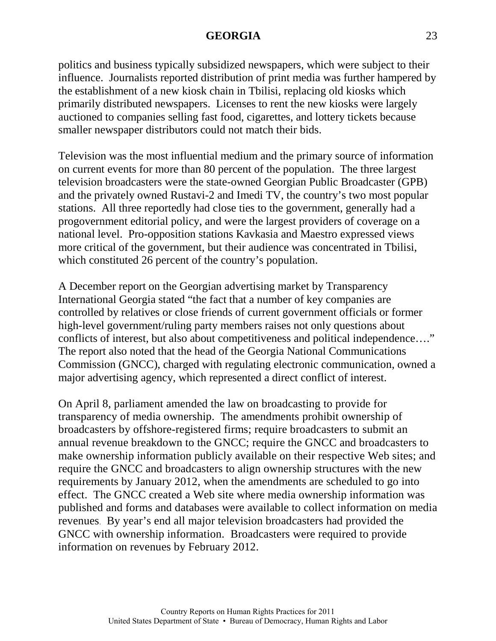politics and business typically subsidized newspapers, which were subject to their influence. Journalists reported distribution of print media was further hampered by the establishment of a new kiosk chain in Tbilisi, replacing old kiosks which primarily distributed newspapers. Licenses to rent the new kiosks were largely auctioned to companies selling fast food, cigarettes, and lottery tickets because smaller newspaper distributors could not match their bids.

Television was the most influential medium and the primary source of information on current events for more than 80 percent of the population. The three largest television broadcasters were the state-owned Georgian Public Broadcaster (GPB) and the privately owned Rustavi-2 and Imedi TV, the country's two most popular stations. All three reportedly had close ties to the government, generally had a progovernment editorial policy, and were the largest providers of coverage on a national level. Pro-opposition stations Kavkasia and Maestro expressed views more critical of the government, but their audience was concentrated in Tbilisi, which constituted 26 percent of the country's population.

A December report on the Georgian advertising market by Transparency International Georgia stated "the fact that a number of key companies are controlled by relatives or close friends of current government officials or former high-level government/ruling party members raises not only questions about conflicts of interest, but also about competitiveness and political independence…." The report also noted that the head of the Georgia National Communications Commission (GNCC), charged with regulating electronic communication, owned a major advertising agency, which represented a direct conflict of interest.

On April 8, parliament amended the law on broadcasting to provide for transparency of media ownership. The amendments prohibit ownership of broadcasters by offshore-registered firms; require broadcasters to submit an annual revenue breakdown to the GNCC; require the GNCC and broadcasters to make ownership information publicly available on their respective Web sites; and require the GNCC and broadcasters to align ownership structures with the new requirements by January 2012, when the amendments are scheduled to go into effect. The GNCC created a Web site where media ownership information was published and forms and databases were available to collect information on media revenues. By year's end all major television broadcasters had provided the GNCC with ownership information. Broadcasters were required to provide information on revenues by February 2012.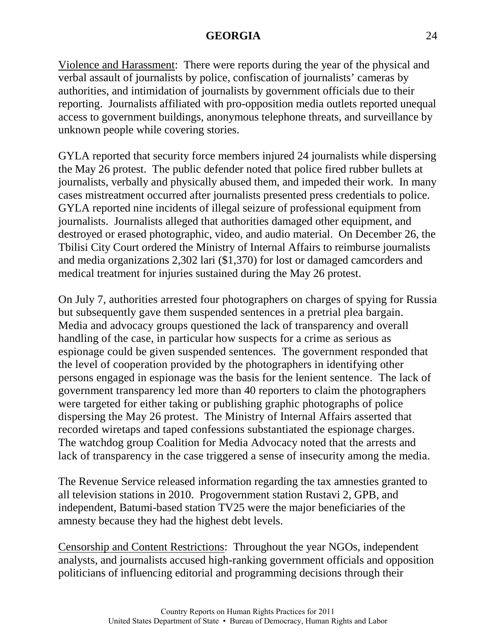Violence and Harassment: There were reports during the year of the physical and verbal assault of journalists by police, confiscation of journalists' cameras by authorities, and intimidation of journalists by government officials due to their reporting. Journalists affiliated with pro-opposition media outlets reported unequal access to government buildings, anonymous telephone threats, and surveillance by unknown people while covering stories.

GYLA reported that security force members injured 24 journalists while dispersing the May 26 protest. The public defender noted that police fired rubber bullets at journalists, verbally and physically abused them, and impeded their work. In many cases mistreatment occurred after journalists presented press credentials to police. GYLA reported nine incidents of illegal seizure of professional equipment from journalists. Journalists alleged that authorities damaged other equipment, and destroyed or erased photographic, video, and audio material. On December 26, the Tbilisi City Court ordered the Ministry of Internal Affairs to reimburse journalists and media organizations 2,302 lari (\$1,370) for lost or damaged camcorders and medical treatment for injuries sustained during the May 26 protest.

On July 7, authorities arrested four photographers on charges of spying for Russia but subsequently gave them suspended sentences in a pretrial plea bargain. Media and advocacy groups questioned the lack of transparency and overall handling of the case, in particular how suspects for a crime as serious as espionage could be given suspended sentences. The government responded that the level of cooperation provided by the photographers in identifying other persons engaged in espionage was the basis for the lenient sentence. The lack of government transparency led more than 40 reporters to claim the photographers were targeted for either taking or publishing graphic photographs of police dispersing the May 26 protest. The Ministry of Internal Affairs asserted that recorded wiretaps and taped confessions substantiated the espionage charges. The watchdog group Coalition for Media Advocacy noted that the arrests and lack of transparency in the case triggered a sense of insecurity among the media.

The Revenue Service released information regarding the tax amnesties granted to all television stations in 2010. Progovernment station Rustavi 2, GPB, and independent, Batumi-based station TV25 were the major beneficiaries of the amnesty because they had the highest debt levels.

Censorship and Content Restrictions: Throughout the year NGOs, independent analysts, and journalists accused high-ranking government officials and opposition politicians of influencing editorial and programming decisions through their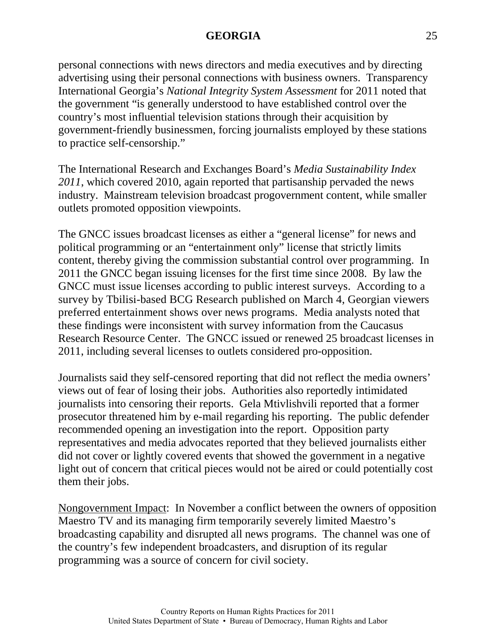personal connections with news directors and media executives and by directing advertising using their personal connections with business owners. Transparency International Georgia's *National Integrity System Assessment* for 2011 noted that the government "is generally understood to have established control over the country's most influential television stations through their acquisition by government-friendly businessmen, forcing journalists employed by these stations to practice self-censorship."

The International Research and Exchanges Board's *Media Sustainability Index 2011*, which covered 2010, again reported that partisanship pervaded the news industry. Mainstream television broadcast progovernment content, while smaller outlets promoted opposition viewpoints.

The GNCC issues broadcast licenses as either a "general license" for news and political programming or an "entertainment only" license that strictly limits content, thereby giving the commission substantial control over programming. In 2011 the GNCC began issuing licenses for the first time since 2008. By law the GNCC must issue licenses according to public interest surveys. According to a survey by Tbilisi-based BCG Research published on March 4, Georgian viewers preferred entertainment shows over news programs. Media analysts noted that these findings were inconsistent with survey information from the Caucasus Research Resource Center. The GNCC issued or renewed 25 broadcast licenses in 2011, including several licenses to outlets considered pro-opposition.

Journalists said they self-censored reporting that did not reflect the media owners' views out of fear of losing their jobs. Authorities also reportedly intimidated journalists into censoring their reports. Gela Mtivlishvili reported that a former prosecutor threatened him by e-mail regarding his reporting. The public defender recommended opening an investigation into the report. Opposition party representatives and media advocates reported that they believed journalists either did not cover or lightly covered events that showed the government in a negative light out of concern that critical pieces would not be aired or could potentially cost them their jobs.

Nongovernment Impact: In November a conflict between the owners of opposition Maestro TV and its managing firm temporarily severely limited Maestro's broadcasting capability and disrupted all news programs. The channel was one of the country's few independent broadcasters, and disruption of its regular programming was a source of concern for civil society.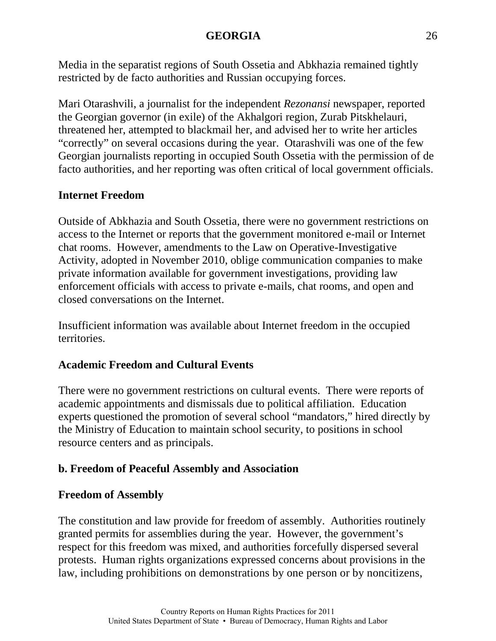Media in the separatist regions of South Ossetia and Abkhazia remained tightly restricted by de facto authorities and Russian occupying forces.

Mari Otarashvili, a journalist for the independent *Rezonansi* newspaper, reported the Georgian governor (in exile) of the Akhalgori region, Zurab Pitskhelauri, threatened her, attempted to blackmail her, and advised her to write her articles "correctly" on several occasions during the year. Otarashvili was one of the few Georgian journalists reporting in occupied South Ossetia with the permission of de facto authorities, and her reporting was often critical of local government officials.

# **Internet Freedom**

Outside of Abkhazia and South Ossetia, there were no government restrictions on access to the Internet or reports that the government monitored e-mail or Internet chat rooms. However, amendments to the Law on Operative-Investigative Activity, adopted in November 2010, oblige communication companies to make private information available for government investigations, providing law enforcement officials with access to private e-mails, chat rooms, and open and closed conversations on the Internet.

Insufficient information was available about Internet freedom in the occupied territories.

# **Academic Freedom and Cultural Events**

There were no government restrictions on cultural events. There were reports of academic appointments and dismissals due to political affiliation. Education experts questioned the promotion of several school "mandators," hired directly by the Ministry of Education to maintain school security, to positions in school resource centers and as principals.

# **b. Freedom of Peaceful Assembly and Association**

# **Freedom of Assembly**

The constitution and law provide for freedom of assembly. Authorities routinely granted permits for assemblies during the year. However, the government's respect for this freedom was mixed, and authorities forcefully dispersed several protests. Human rights organizations expressed concerns about provisions in the law, including prohibitions on demonstrations by one person or by noncitizens,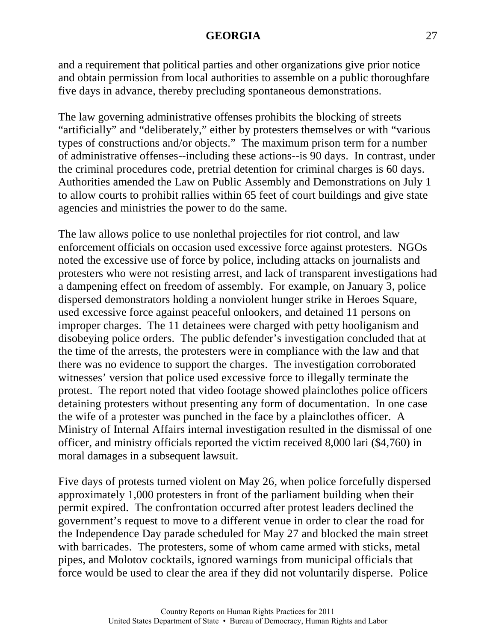and a requirement that political parties and other organizations give prior notice and obtain permission from local authorities to assemble on a public thoroughfare five days in advance, thereby precluding spontaneous demonstrations.

The law governing administrative offenses prohibits the blocking of streets "artificially" and "deliberately," either by protesters themselves or with "various types of constructions and/or objects." The maximum prison term for a number of administrative offenses--including these actions--is 90 days. In contrast, under the criminal procedures code, pretrial detention for criminal charges is 60 days. Authorities amended the Law on Public Assembly and Demonstrations on July 1 to allow courts to prohibit rallies within 65 feet of court buildings and give state agencies and ministries the power to do the same.

The law allows police to use nonlethal projectiles for riot control, and law enforcement officials on occasion used excessive force against protesters. NGOs noted the excessive use of force by police, including attacks on journalists and protesters who were not resisting arrest, and lack of transparent investigations had a dampening effect on freedom of assembly. For example, on January 3, police dispersed demonstrators holding a nonviolent hunger strike in Heroes Square, used excessive force against peaceful onlookers, and detained 11 persons on improper charges. The 11 detainees were charged with petty hooliganism and disobeying police orders. The public defender's investigation concluded that at the time of the arrests, the protesters were in compliance with the law and that there was no evidence to support the charges. The investigation corroborated witnesses' version that police used excessive force to illegally terminate the protest. The report noted that video footage showed plainclothes police officers detaining protesters without presenting any form of documentation. In one case the wife of a protester was punched in the face by a plainclothes officer. A Ministry of Internal Affairs internal investigation resulted in the dismissal of one officer, and ministry officials reported the victim received 8,000 lari (\$4,760) in moral damages in a subsequent lawsuit.

Five days of protests turned violent on May 26, when police forcefully dispersed approximately 1,000 protesters in front of the parliament building when their permit expired. The confrontation occurred after protest leaders declined the government's request to move to a different venue in order to clear the road for the Independence Day parade scheduled for May 27 and blocked the main street with barricades. The protesters, some of whom came armed with sticks, metal pipes, and Molotov cocktails, ignored warnings from municipal officials that force would be used to clear the area if they did not voluntarily disperse. Police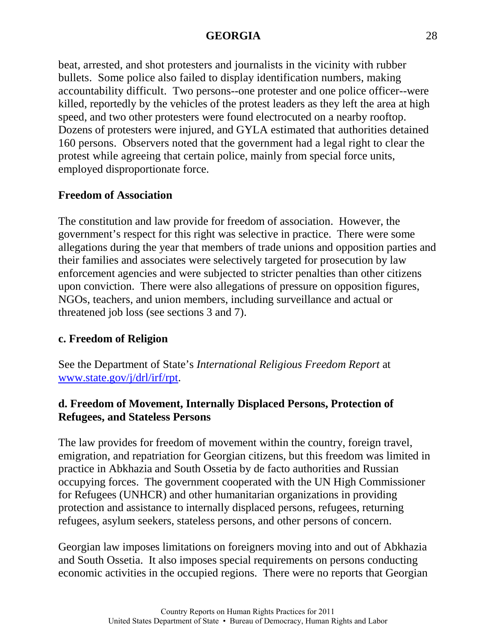beat, arrested, and shot protesters and journalists in the vicinity with rubber bullets. Some police also failed to display identification numbers, making accountability difficult. Two persons--one protester and one police officer--were killed, reportedly by the vehicles of the protest leaders as they left the area at high speed, and two other protesters were found electrocuted on a nearby rooftop. Dozens of protesters were injured, and GYLA estimated that authorities detained 160 persons. Observers noted that the government had a legal right to clear the protest while agreeing that certain police, mainly from special force units, employed disproportionate force.

# **Freedom of Association**

The constitution and law provide for freedom of association. However, the government's respect for this right was selective in practice. There were some allegations during the year that members of trade unions and opposition parties and their families and associates were selectively targeted for prosecution by law enforcement agencies and were subjected to stricter penalties than other citizens upon conviction. There were also allegations of pressure on opposition figures, NGOs, teachers, and union members, including surveillance and actual or threatened job loss (see sections 3 and 7).

# **c. Freedom of Religion**

See the Department of State's *International Religious Freedom Report* at [www.state.gov/j/drl/irf/rpt.](http://www.state.gov/j/drl/irf/rpt/)

# **d. Freedom of Movement, Internally Displaced Persons, Protection of Refugees, and Stateless Persons**

The law provides for freedom of movement within the country, foreign travel, emigration, and repatriation for Georgian citizens, but this freedom was limited in practice in Abkhazia and South Ossetia by de facto authorities and Russian occupying forces. The government cooperated with the UN High Commissioner for Refugees (UNHCR) and other humanitarian organizations in providing protection and assistance to internally displaced persons, refugees, returning refugees, asylum seekers, stateless persons, and other persons of concern.

Georgian law imposes limitations on foreigners moving into and out of Abkhazia and South Ossetia. It also imposes special requirements on persons conducting economic activities in the occupied regions. There were no reports that Georgian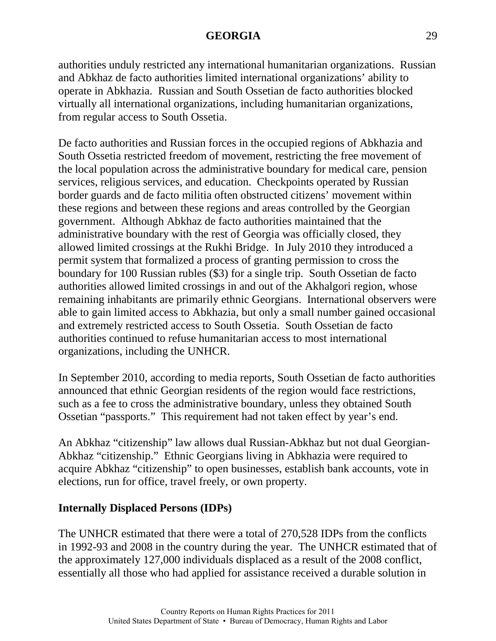authorities unduly restricted any international humanitarian organizations. Russian and Abkhaz de facto authorities limited international organizations' ability to operate in Abkhazia. Russian and South Ossetian de facto authorities blocked virtually all international organizations, including humanitarian organizations, from regular access to South Ossetia.

De facto authorities and Russian forces in the occupied regions of Abkhazia and South Ossetia restricted freedom of movement, restricting the free movement of the local population across the administrative boundary for medical care, pension services, religious services, and education. Checkpoints operated by Russian border guards and de facto militia often obstructed citizens' movement within these regions and between these regions and areas controlled by the Georgian government. Although Abkhaz de facto authorities maintained that the administrative boundary with the rest of Georgia was officially closed, they allowed limited crossings at the Rukhi Bridge. In July 2010 they introduced a permit system that formalized a process of granting permission to cross the boundary for 100 Russian rubles (\$3) for a single trip. South Ossetian de facto authorities allowed limited crossings in and out of the Akhalgori region, whose remaining inhabitants are primarily ethnic Georgians. International observers were able to gain limited access to Abkhazia, but only a small number gained occasional and extremely restricted access to South Ossetia. South Ossetian de facto authorities continued to refuse humanitarian access to most international organizations, including the UNHCR.

In September 2010, according to media reports, South Ossetian de facto authorities announced that ethnic Georgian residents of the region would face restrictions, such as a fee to cross the administrative boundary, unless they obtained South Ossetian "passports." This requirement had not taken effect by year's end.

An Abkhaz "citizenship" law allows dual Russian-Abkhaz but not dual Georgian-Abkhaz "citizenship." Ethnic Georgians living in Abkhazia were required to acquire Abkhaz "citizenship" to open businesses, establish bank accounts, vote in elections, run for office, travel freely, or own property.

# **Internally Displaced Persons (IDPs)**

The UNHCR estimated that there were a total of 270,528 IDPs from the conflicts in 1992-93 and 2008 in the country during the year. The UNHCR estimated that of the approximately 127,000 individuals displaced as a result of the 2008 conflict, essentially all those who had applied for assistance received a durable solution in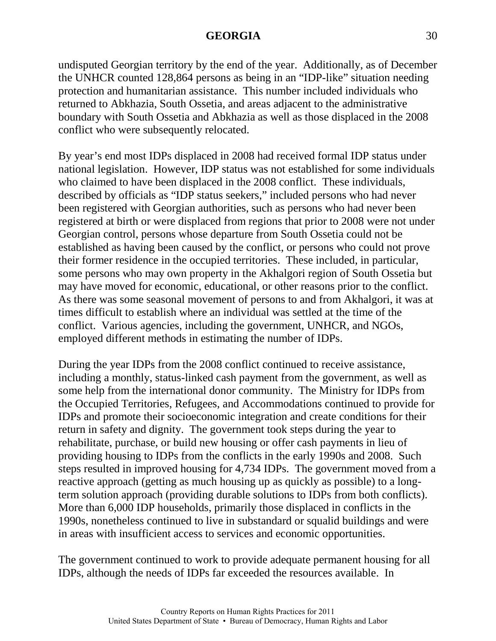undisputed Georgian territory by the end of the year. Additionally, as of December the UNHCR counted 128,864 persons as being in an "IDP-like" situation needing protection and humanitarian assistance. This number included individuals who returned to Abkhazia, South Ossetia, and areas adjacent to the administrative boundary with South Ossetia and Abkhazia as well as those displaced in the 2008 conflict who were subsequently relocated.

By year's end most IDPs displaced in 2008 had received formal IDP status under national legislation. However, IDP status was not established for some individuals who claimed to have been displaced in the 2008 conflict. These individuals, described by officials as "IDP status seekers," included persons who had never been registered with Georgian authorities, such as persons who had never been registered at birth or were displaced from regions that prior to 2008 were not under Georgian control, persons whose departure from South Ossetia could not be established as having been caused by the conflict, or persons who could not prove their former residence in the occupied territories. These included, in particular, some persons who may own property in the Akhalgori region of South Ossetia but may have moved for economic, educational, or other reasons prior to the conflict. As there was some seasonal movement of persons to and from Akhalgori, it was at times difficult to establish where an individual was settled at the time of the conflict. Various agencies, including the government, UNHCR, and NGOs, employed different methods in estimating the number of IDPs.

During the year IDPs from the 2008 conflict continued to receive assistance, including a monthly, status-linked cash payment from the government, as well as some help from the international donor community. The Ministry for IDPs from the Occupied Territories, Refugees, and Accommodations continued to provide for IDPs and promote their socioeconomic integration and create conditions for their return in safety and dignity. The government took steps during the year to rehabilitate, purchase, or build new housing or offer cash payments in lieu of providing housing to IDPs from the conflicts in the early 1990s and 2008. Such steps resulted in improved housing for 4,734 IDPs. The government moved from a reactive approach (getting as much housing up as quickly as possible) to a longterm solution approach (providing durable solutions to IDPs from both conflicts). More than 6,000 IDP households, primarily those displaced in conflicts in the 1990s, nonetheless continued to live in substandard or squalid buildings and were in areas with insufficient access to services and economic opportunities.

The government continued to work to provide adequate permanent housing for all IDPs, although the needs of IDPs far exceeded the resources available. In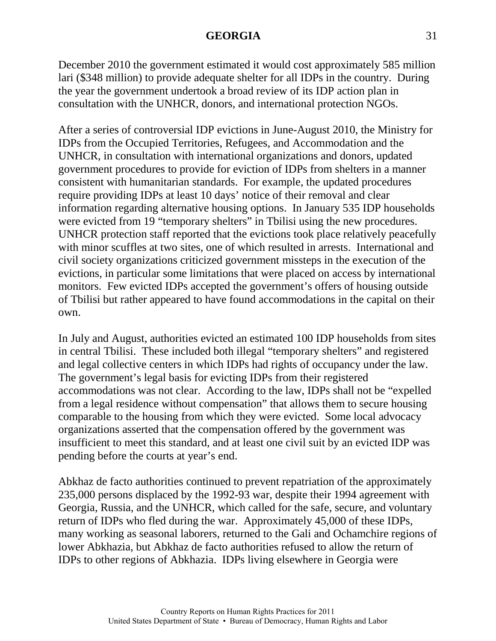December 2010 the government estimated it would cost approximately 585 million lari (\$348 million) to provide adequate shelter for all IDPs in the country. During the year the government undertook a broad review of its IDP action plan in consultation with the UNHCR, donors, and international protection NGOs.

After a series of controversial IDP evictions in June-August 2010, the Ministry for IDPs from the Occupied Territories, Refugees, and Accommodation and the UNHCR, in consultation with international organizations and donors, updated government procedures to provide for eviction of IDPs from shelters in a manner consistent with humanitarian standards. For example, the updated procedures require providing IDPs at least 10 days' notice of their removal and clear information regarding alternative housing options. In January 535 IDP households were evicted from 19 "temporary shelters" in Tbilisi using the new procedures. UNHCR protection staff reported that the evictions took place relatively peacefully with minor scuffles at two sites, one of which resulted in arrests. International and civil society organizations criticized government missteps in the execution of the evictions, in particular some limitations that were placed on access by international monitors. Few evicted IDPs accepted the government's offers of housing outside of Tbilisi but rather appeared to have found accommodations in the capital on their own.

In July and August, authorities evicted an estimated 100 IDP households from sites in central Tbilisi. These included both illegal "temporary shelters" and registered and legal collective centers in which IDPs had rights of occupancy under the law. The government's legal basis for evicting IDPs from their registered accommodations was not clear. According to the law, IDPs shall not be "expelled from a legal residence without compensation" that allows them to secure housing comparable to the housing from which they were evicted. Some local advocacy organizations asserted that the compensation offered by the government was insufficient to meet this standard, and at least one civil suit by an evicted IDP was pending before the courts at year's end.

Abkhaz de facto authorities continued to prevent repatriation of the approximately 235,000 persons displaced by the 1992-93 war, despite their 1994 agreement with Georgia, Russia, and the UNHCR, which called for the safe, secure, and voluntary return of IDPs who fled during the war. Approximately 45,000 of these IDPs, many working as seasonal laborers, returned to the Gali and Ochamchire regions of lower Abkhazia, but Abkhaz de facto authorities refused to allow the return of IDPs to other regions of Abkhazia. IDPs living elsewhere in Georgia were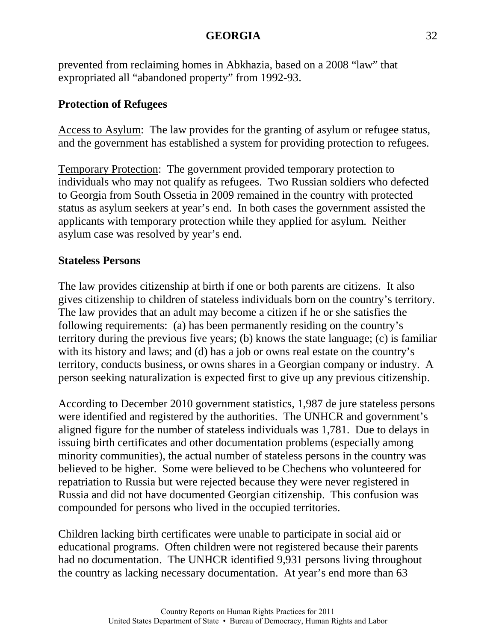prevented from reclaiming homes in Abkhazia, based on a 2008 "law" that expropriated all "abandoned property" from 1992-93.

# **Protection of Refugees**

Access to Asylum: The law provides for the granting of asylum or refugee status, and the government has established a system for providing protection to refugees.

Temporary Protection: The government provided temporary protection to individuals who may not qualify as refugees. Two Russian soldiers who defected to Georgia from South Ossetia in 2009 remained in the country with protected status as asylum seekers at year's end. In both cases the government assisted the applicants with temporary protection while they applied for asylum. Neither asylum case was resolved by year's end.

# **Stateless Persons**

The law provides citizenship at birth if one or both parents are citizens. It also gives citizenship to children of stateless individuals born on the country's territory. The law provides that an adult may become a citizen if he or she satisfies the following requirements: (a) has been permanently residing on the country's territory during the previous five years; (b) knows the state language; (c) is familiar with its history and laws; and (d) has a job or owns real estate on the country's territory, conducts business, or owns shares in a Georgian company or industry. A person seeking naturalization is expected first to give up any previous citizenship.

According to December 2010 government statistics, 1,987 de jure stateless persons were identified and registered by the authorities. The UNHCR and government's aligned figure for the number of stateless individuals was 1,781. Due to delays in issuing birth certificates and other documentation problems (especially among minority communities), the actual number of stateless persons in the country was believed to be higher. Some were believed to be Chechens who volunteered for repatriation to Russia but were rejected because they were never registered in Russia and did not have documented Georgian citizenship. This confusion was compounded for persons who lived in the occupied territories.

Children lacking birth certificates were unable to participate in social aid or educational programs. Often children were not registered because their parents had no documentation. The UNHCR identified 9,931 persons living throughout the country as lacking necessary documentation. At year's end more than 63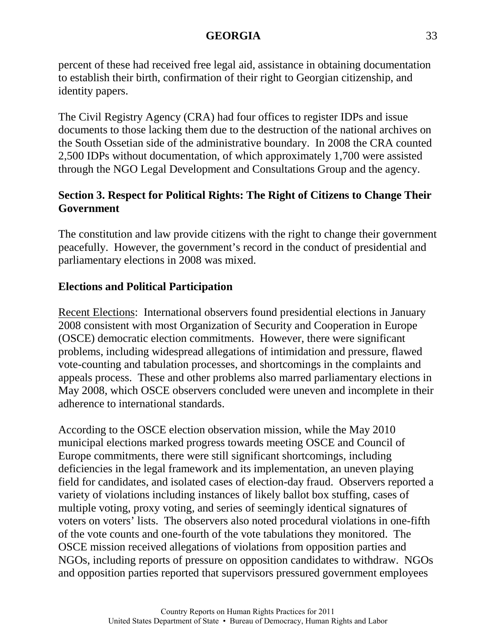percent of these had received free legal aid, assistance in obtaining documentation to establish their birth, confirmation of their right to Georgian citizenship, and identity papers.

The Civil Registry Agency (CRA) had four offices to register IDPs and issue documents to those lacking them due to the destruction of the national archives on the South Ossetian side of the administrative boundary. In 2008 the CRA counted 2,500 IDPs without documentation, of which approximately 1,700 were assisted through the NGO Legal Development and Consultations Group and the agency.

# **Section 3. Respect for Political Rights: The Right of Citizens to Change Their Government**

The constitution and law provide citizens with the right to change their government peacefully. However, the government's record in the conduct of presidential and parliamentary elections in 2008 was mixed.

# **Elections and Political Participation**

Recent Elections: International observers found presidential elections in January 2008 consistent with most Organization of Security and Cooperation in Europe (OSCE) democratic election commitments. However, there were significant problems, including widespread allegations of intimidation and pressure, flawed vote-counting and tabulation processes, and shortcomings in the complaints and appeals process. These and other problems also marred parliamentary elections in May 2008, which OSCE observers concluded were uneven and incomplete in their adherence to international standards.

According to the OSCE election observation mission, while the May 2010 municipal elections marked progress towards meeting OSCE and Council of Europe commitments, there were still significant shortcomings, including deficiencies in the legal framework and its implementation, an uneven playing field for candidates, and isolated cases of election-day fraud. Observers reported a variety of violations including instances of likely ballot box stuffing, cases of multiple voting, proxy voting, and series of seemingly identical signatures of voters on voters' lists. The observers also noted procedural violations in one-fifth of the vote counts and one-fourth of the vote tabulations they monitored. The OSCE mission received allegations of violations from opposition parties and NGOs, including reports of pressure on opposition candidates to withdraw. NGOs and opposition parties reported that supervisors pressured government employees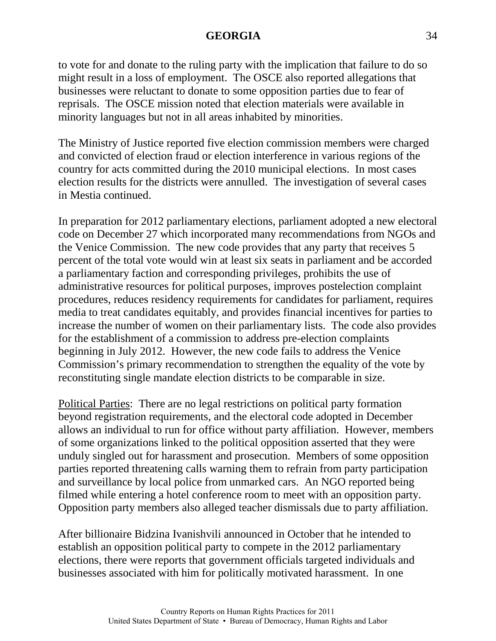to vote for and donate to the ruling party with the implication that failure to do so might result in a loss of employment. The OSCE also reported allegations that businesses were reluctant to donate to some opposition parties due to fear of reprisals. The OSCE mission noted that election materials were available in minority languages but not in all areas inhabited by minorities.

The Ministry of Justice reported five election commission members were charged and convicted of election fraud or election interference in various regions of the country for acts committed during the 2010 municipal elections. In most cases election results for the districts were annulled. The investigation of several cases in Mestia continued.

In preparation for 2012 parliamentary elections, parliament adopted a new electoral code on December 27 which incorporated many recommendations from NGOs and the Venice Commission. The new code provides that any party that receives 5 percent of the total vote would win at least six seats in parliament and be accorded a parliamentary faction and corresponding privileges, prohibits the use of administrative resources for political purposes, improves postelection complaint procedures, reduces residency requirements for candidates for parliament, requires media to treat candidates equitably, and provides financial incentives for parties to increase the number of women on their parliamentary lists. The code also provides for the establishment of a commission to address pre-election complaints beginning in July 2012. However, the new code fails to address the Venice Commission's primary recommendation to strengthen the equality of the vote by reconstituting single mandate election districts to be comparable in size.

Political Parties: There are no legal restrictions on political party formation beyond registration requirements, and the electoral code adopted in December allows an individual to run for office without party affiliation. However, members of some organizations linked to the political opposition asserted that they were unduly singled out for harassment and prosecution. Members of some opposition parties reported threatening calls warning them to refrain from party participation and surveillance by local police from unmarked cars. An NGO reported being filmed while entering a hotel conference room to meet with an opposition party. Opposition party members also alleged teacher dismissals due to party affiliation.

After billionaire Bidzina Ivanishvili announced in October that he intended to establish an opposition political party to compete in the 2012 parliamentary elections, there were reports that government officials targeted individuals and businesses associated with him for politically motivated harassment. In one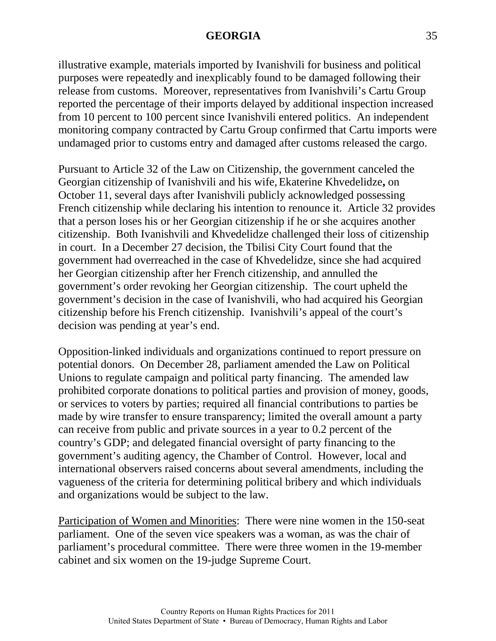illustrative example, materials imported by Ivanishvili for business and political purposes were repeatedly and inexplicably found to be damaged following their release from customs. Moreover, representatives from Ivanishvili's Cartu Group reported the percentage of their imports delayed by additional inspection increased from 10 percent to 100 percent since Ivanishvili entered politics. An independent monitoring company contracted by Cartu Group confirmed that Cartu imports were undamaged prior to customs entry and damaged after customs released the cargo.

Pursuant to Article 32 of the Law on Citizenship, the government canceled the Georgian citizenship of Ivanishvili and his wife,Ekaterine Khvedelidze**,** on October 11, several days after Ivanishvili publicly acknowledged possessing French citizenship while declaring his intention to renounce it. Article 32 provides that a person loses his or her Georgian citizenship if he or she acquires another citizenship. Both Ivanishvili and Khvedelidze challenged their loss of citizenship in court. In a December 27 decision, the Tbilisi City Court found that the government had overreached in the case of Khvedelidze, since she had acquired her Georgian citizenship after her French citizenship, and annulled the government's order revoking her Georgian citizenship. The court upheld the government's decision in the case of Ivanishvili, who had acquired his Georgian citizenship before his French citizenship. Ivanishvili's appeal of the court's decision was pending at year's end.

Opposition-linked individuals and organizations continued to report pressure on potential donors. On December 28, parliament amended the Law on Political Unions to regulate campaign and political party financing. The amended law prohibited corporate donations to political parties and provision of money, goods, or services to voters by parties; required all financial contributions to parties be made by wire transfer to ensure transparency; limited the overall amount a party can receive from public and private sources in a year to 0.2 percent of the country's GDP; and delegated financial oversight of party financing to the government's auditing agency, the Chamber of Control. However, local and international observers raised concerns about several amendments, including the vagueness of the criteria for determining political bribery and which individuals and organizations would be subject to the law.

Participation of Women and Minorities: There were nine women in the 150-seat parliament. One of the seven vice speakers was a woman, as was the chair of parliament's procedural committee. There were three women in the 19-member cabinet and six women on the 19-judge Supreme Court.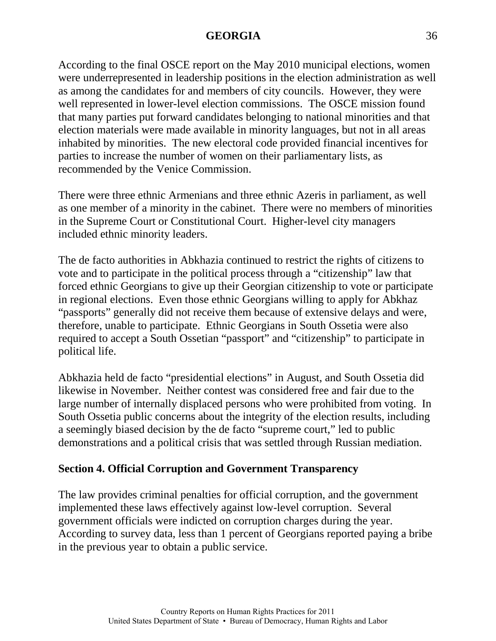According to the final OSCE report on the May 2010 municipal elections, women were underrepresented in leadership positions in the election administration as well as among the candidates for and members of city councils. However, they were well represented in lower-level election commissions. The OSCE mission found that many parties put forward candidates belonging to national minorities and that election materials were made available in minority languages, but not in all areas inhabited by minorities. The new electoral code provided financial incentives for parties to increase the number of women on their parliamentary lists, as recommended by the Venice Commission.

There were three ethnic Armenians and three ethnic Azeris in parliament, as well as one member of a minority in the cabinet. There were no members of minorities in the Supreme Court or Constitutional Court. Higher-level city managers included ethnic minority leaders.

The de facto authorities in Abkhazia continued to restrict the rights of citizens to vote and to participate in the political process through a "citizenship" law that forced ethnic Georgians to give up their Georgian citizenship to vote or participate in regional elections. Even those ethnic Georgians willing to apply for Abkhaz "passports" generally did not receive them because of extensive delays and were, therefore, unable to participate. Ethnic Georgians in South Ossetia were also required to accept a South Ossetian "passport" and "citizenship" to participate in political life.

Abkhazia held de facto "presidential elections" in August, and South Ossetia did likewise in November. Neither contest was considered free and fair due to the large number of internally displaced persons who were prohibited from voting. In South Ossetia public concerns about the integrity of the election results, including a seemingly biased decision by the de facto "supreme court," led to public demonstrations and a political crisis that was settled through Russian mediation.

# **Section 4. Official Corruption and Government Transparency**

The law provides criminal penalties for official corruption, and the government implemented these laws effectively against low-level corruption. Several government officials were indicted on corruption charges during the year. According to survey data, less than 1 percent of Georgians reported paying a bribe in the previous year to obtain a public service.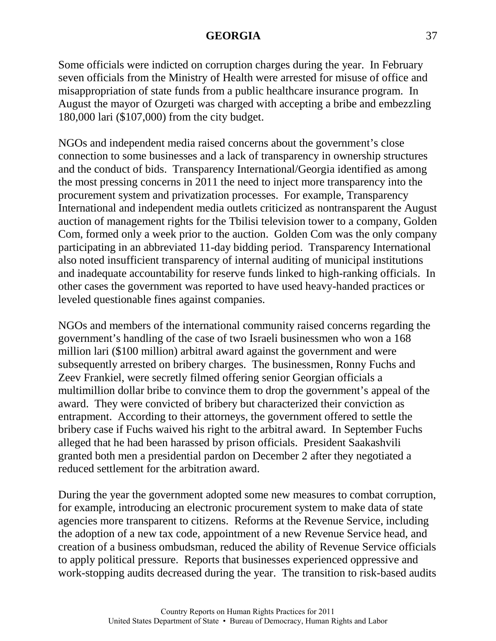Some officials were indicted on corruption charges during the year. In February seven officials from the Ministry of Health were arrested for misuse of office and misappropriation of state funds from a public healthcare insurance program. In August the mayor of Ozurgeti was charged with accepting a bribe and embezzling 180,000 lari (\$107,000) from the city budget.

NGOs and independent media raised concerns about the government's close connection to some businesses and a lack of transparency in ownership structures and the conduct of bids. Transparency International/Georgia identified as among the most pressing concerns in 2011 the need to inject more transparency into the procurement system and privatization processes. For example, Transparency International and independent media outlets criticized as nontransparent the August auction of management rights for the Tbilisi television tower to a company, Golden Com, formed only a week prior to the auction. Golden Com was the only company participating in an abbreviated 11-day bidding period. Transparency International also noted insufficient transparency of internal auditing of municipal institutions and inadequate accountability for reserve funds linked to high-ranking officials. In other cases the government was reported to have used heavy-handed practices or leveled questionable fines against companies.

NGOs and members of the international community raised concerns regarding the government's handling of the case of two Israeli businessmen who won a 168 million lari (\$100 million) arbitral award against the government and were subsequently arrested on bribery charges. The businessmen, Ronny Fuchs and Zeev Frankiel, were secretly filmed offering senior Georgian officials a multimillion dollar bribe to convince them to drop the government's appeal of the award. They were convicted of bribery but characterized their conviction as entrapment. According to their attorneys, the government offered to settle the bribery case if Fuchs waived his right to the arbitral award. In September Fuchs alleged that he had been harassed by prison officials. President Saakashvili granted both men a presidential pardon on December 2 after they negotiated a reduced settlement for the arbitration award.

During the year the government adopted some new measures to combat corruption, for example, introducing an electronic procurement system to make data of state agencies more transparent to citizens. Reforms at the Revenue Service, including the adoption of a new tax code, appointment of a new Revenue Service head, and creation of a business ombudsman, reduced the ability of Revenue Service officials to apply political pressure. Reports that businesses experienced oppressive and work-stopping audits decreased during the year. The transition to risk-based audits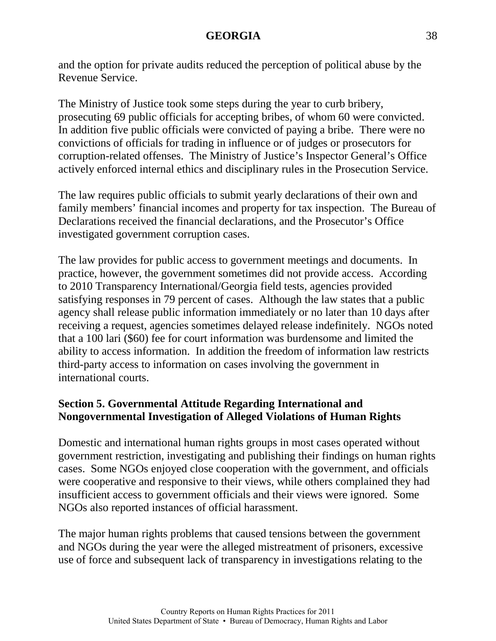and the option for private audits reduced the perception of political abuse by the Revenue Service.

The Ministry of Justice took some steps during the year to curb bribery, prosecuting 69 public officials for accepting bribes, of whom 60 were convicted. In addition five public officials were convicted of paying a bribe. There were no convictions of officials for trading in influence or of judges or prosecutors for corruption-related offenses. The Ministry of Justice's Inspector General's Office actively enforced internal ethics and disciplinary rules in the Prosecution Service.

The law requires public officials to submit yearly declarations of their own and family members' financial incomes and property for tax inspection. The Bureau of Declarations received the financial declarations, and the Prosecutor's Office investigated government corruption cases.

The law provides for public access to government meetings and documents. In practice, however, the government sometimes did not provide access. According to 2010 Transparency International/Georgia field tests, agencies provided satisfying responses in 79 percent of cases. Although the law states that a public agency shall release public information immediately or no later than 10 days after receiving a request, agencies sometimes delayed release indefinitely. NGOs noted that a 100 lari (\$60) fee for court information was burdensome and limited the ability to access information. In addition the freedom of information law restricts third-party access to information on cases involving the government in international courts.

# **Section 5. Governmental Attitude Regarding International and Nongovernmental Investigation of Alleged Violations of Human Rights**

Domestic and international human rights groups in most cases operated without government restriction, investigating and publishing their findings on human rights cases. Some NGOs enjoyed close cooperation with the government, and officials were cooperative and responsive to their views, while others complained they had insufficient access to government officials and their views were ignored. Some NGOs also reported instances of official harassment.

The major human rights problems that caused tensions between the government and NGOs during the year were the alleged mistreatment of prisoners, excessive use of force and subsequent lack of transparency in investigations relating to the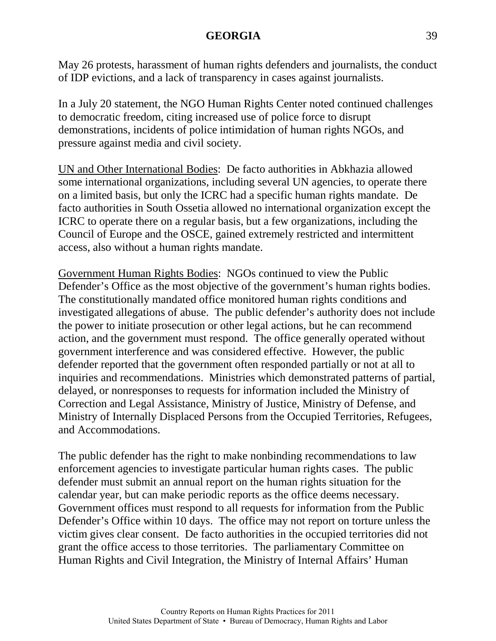May 26 protests, harassment of human rights defenders and journalists, the conduct of IDP evictions, and a lack of transparency in cases against journalists.

In a July 20 statement, the NGO Human Rights Center noted continued challenges to democratic freedom, citing increased use of police force to disrupt demonstrations, incidents of police intimidation of human rights NGOs, and pressure against media and civil society.

UN and Other International Bodies: De facto authorities in Abkhazia allowed some international organizations, including several UN agencies, to operate there on a limited basis, but only the ICRC had a specific human rights mandate. De facto authorities in South Ossetia allowed no international organization except the ICRC to operate there on a regular basis, but a few organizations, including the Council of Europe and the OSCE, gained extremely restricted and intermittent access, also without a human rights mandate.

Government Human Rights Bodies: NGOs continued to view the Public Defender's Office as the most objective of the government's human rights bodies. The constitutionally mandated office monitored human rights conditions and investigated allegations of abuse. The public defender's authority does not include the power to initiate prosecution or other legal actions, but he can recommend action, and the government must respond. The office generally operated without government interference and was considered effective. However, the public defender reported that the government often responded partially or not at all to inquiries and recommendations. Ministries which demonstrated patterns of partial, delayed, or nonresponses to requests for information included the Ministry of Correction and Legal Assistance, Ministry of Justice, Ministry of Defense, and Ministry of Internally Displaced Persons from the Occupied Territories, Refugees, and Accommodations.

The public defender has the right to make nonbinding recommendations to law enforcement agencies to investigate particular human rights cases. The public defender must submit an annual report on the human rights situation for the calendar year, but can make periodic reports as the office deems necessary. Government offices must respond to all requests for information from the Public Defender's Office within 10 days. The office may not report on torture unless the victim gives clear consent. De facto authorities in the occupied territories did not grant the office access to those territories. The parliamentary Committee on Human Rights and Civil Integration, the Ministry of Internal Affairs' Human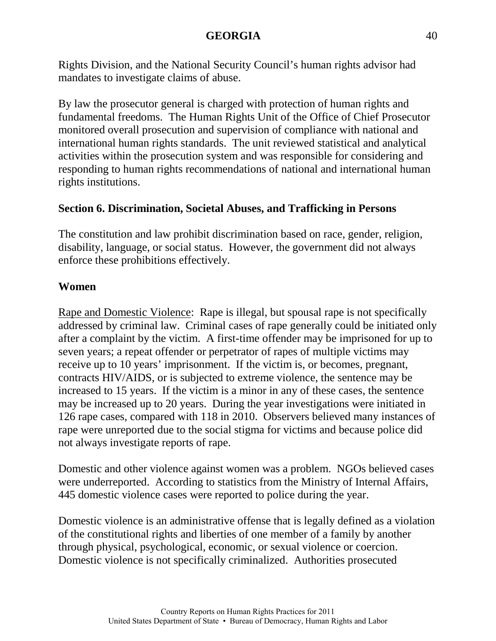Rights Division, and the National Security Council's human rights advisor had mandates to investigate claims of abuse.

By law the prosecutor general is charged with protection of human rights and fundamental freedoms. The Human Rights Unit of the Office of Chief Prosecutor monitored overall prosecution and supervision of compliance with national and international human rights standards. The unit reviewed statistical and analytical activities within the prosecution system and was responsible for considering and responding to human rights recommendations of national and international human rights institutions.

# **Section 6. Discrimination, Societal Abuses, and Trafficking in Persons**

The constitution and law prohibit discrimination based on race, gender, religion, disability, language, or social status. However, the government did not always enforce these prohibitions effectively.

### **Women**

Rape and Domestic Violence: Rape is illegal, but spousal rape is not specifically addressed by criminal law. Criminal cases of rape generally could be initiated only after a complaint by the victim. A first-time offender may be imprisoned for up to seven years; a repeat offender or perpetrator of rapes of multiple victims may receive up to 10 years' imprisonment. If the victim is, or becomes, pregnant, contracts HIV/AIDS, or is subjected to extreme violence, the sentence may be increased to 15 years. If the victim is a minor in any of these cases, the sentence may be increased up to 20 years. During the year investigations were initiated in 126 rape cases, compared with 118 in 2010. Observers believed many instances of rape were unreported due to the social stigma for victims and because police did not always investigate reports of rape.

Domestic and other violence against women was a problem. NGOs believed cases were underreported. According to statistics from the Ministry of Internal Affairs, 445 domestic violence cases were reported to police during the year.

Domestic violence is an administrative offense that is legally defined as a violation of the constitutional rights and liberties of one member of a family by another through physical, psychological, economic, or sexual violence or coercion. Domestic violence is not specifically criminalized. Authorities prosecuted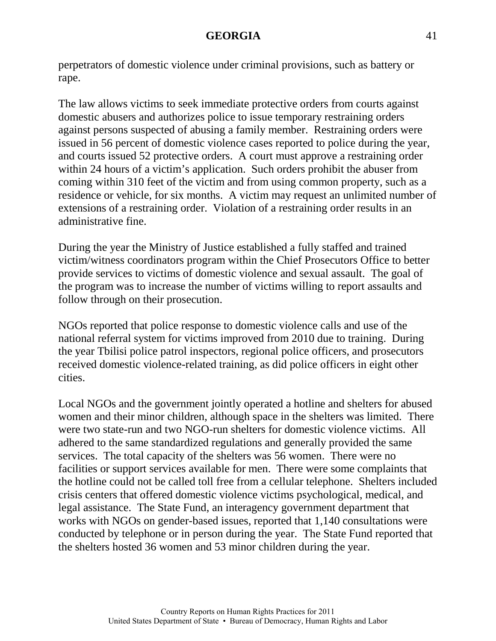perpetrators of domestic violence under criminal provisions, such as battery or rape.

The law allows victims to seek immediate protective orders from courts against domestic abusers and authorizes police to issue temporary restraining orders against persons suspected of abusing a family member. Restraining orders were issued in 56 percent of domestic violence cases reported to police during the year, and courts issued 52 protective orders. A court must approve a restraining order within 24 hours of a victim's application. Such orders prohibit the abuser from coming within 310 feet of the victim and from using common property, such as a residence or vehicle, for six months. A victim may request an unlimited number of extensions of a restraining order. Violation of a restraining order results in an administrative fine.

During the year the Ministry of Justice established a fully staffed and trained victim/witness coordinators program within the Chief Prosecutors Office to better provide services to victims of domestic violence and sexual assault. The goal of the program was to increase the number of victims willing to report assaults and follow through on their prosecution.

NGOs reported that police response to domestic violence calls and use of the national referral system for victims improved from 2010 due to training. During the year Tbilisi police patrol inspectors, regional police officers, and prosecutors received domestic violence-related training, as did police officers in eight other cities.

Local NGOs and the government jointly operated a hotline and shelters for abused women and their minor children, although space in the shelters was limited. There were two state-run and two NGO-run shelters for domestic violence victims. All adhered to the same standardized regulations and generally provided the same services. The total capacity of the shelters was 56 women. There were no facilities or support services available for men. There were some complaints that the hotline could not be called toll free from a cellular telephone. Shelters included crisis centers that offered domestic violence victims psychological, medical, and legal assistance. The State Fund, an interagency government department that works with NGOs on gender-based issues, reported that 1,140 consultations were conducted by telephone or in person during the year. The State Fund reported that the shelters hosted 36 women and 53 minor children during the year.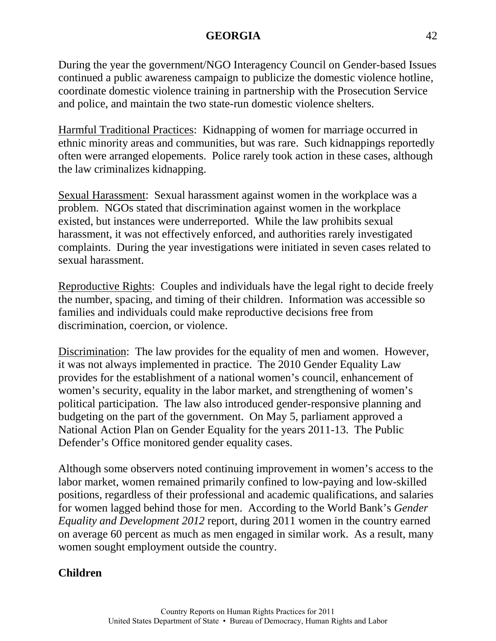During the year the government/NGO Interagency Council on Gender-based Issues continued a public awareness campaign to publicize the domestic violence hotline, coordinate domestic violence training in partnership with the Prosecution Service and police, and maintain the two state-run domestic violence shelters.

Harmful Traditional Practices: Kidnapping of women for marriage occurred in ethnic minority areas and communities, but was rare. Such kidnappings reportedly often were arranged elopements. Police rarely took action in these cases, although the law criminalizes kidnapping.

Sexual Harassment: Sexual harassment against women in the workplace was a problem. NGOs stated that discrimination against women in the workplace existed, but instances were underreported. While the law prohibits sexual harassment, it was not effectively enforced, and authorities rarely investigated complaints. During the year investigations were initiated in seven cases related to sexual harassment.

Reproductive Rights: Couples and individuals have the legal right to decide freely the number, spacing, and timing of their children. Information was accessible so families and individuals could make reproductive decisions free from discrimination, coercion, or violence.

Discrimination: The law provides for the equality of men and women. However, it was not always implemented in practice. The 2010 Gender Equality Law provides for the establishment of a national women's council, enhancement of women's security, equality in the labor market, and strengthening of women's political participation. The law also introduced gender-responsive planning and budgeting on the part of the government. On May 5, parliament approved a National Action Plan on Gender Equality for the years 2011-13. The Public Defender's Office monitored gender equality cases.

Although some observers noted continuing improvement in women's access to the labor market, women remained primarily confined to low-paying and low-skilled positions, regardless of their professional and academic qualifications, and salaries for women lagged behind those for men. According to the World Bank's *Gender Equality and Development 2012* report, during 2011 women in the country earned on average 60 percent as much as men engaged in similar work. As a result, many women sought employment outside the country.

# **Children**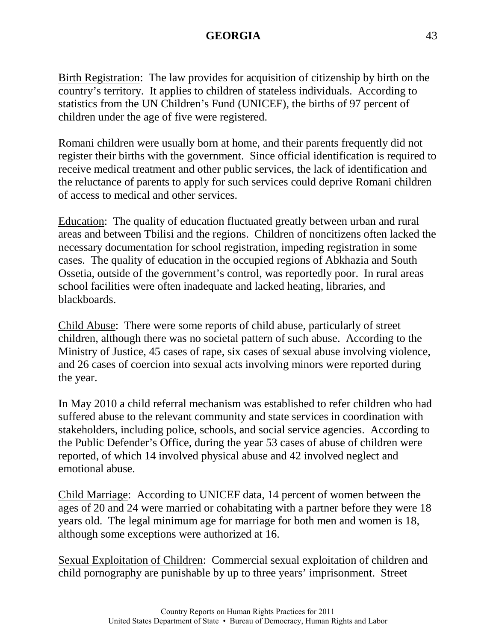Birth Registration: The law provides for acquisition of citizenship by birth on the country's territory. It applies to children of stateless individuals. According to statistics from the UN Children's Fund (UNICEF), the births of 97 percent of children under the age of five were registered.

Romani children were usually born at home, and their parents frequently did not register their births with the government. Since official identification is required to receive medical treatment and other public services, the lack of identification and the reluctance of parents to apply for such services could deprive Romani children of access to medical and other services.

Education: The quality of education fluctuated greatly between urban and rural areas and between Tbilisi and the regions. Children of noncitizens often lacked the necessary documentation for school registration, impeding registration in some cases. The quality of education in the occupied regions of Abkhazia and South Ossetia, outside of the government's control, was reportedly poor. In rural areas school facilities were often inadequate and lacked heating, libraries, and blackboards.

Child Abuse: There were some reports of child abuse, particularly of street children, although there was no societal pattern of such abuse. According to the Ministry of Justice, 45 cases of rape, six cases of sexual abuse involving violence, and 26 cases of coercion into sexual acts involving minors were reported during the year.

In May 2010 a child referral mechanism was established to refer children who had suffered abuse to the relevant community and state services in coordination with stakeholders, including police, schools, and social service agencies. According to the Public Defender's Office, during the year 53 cases of abuse of children were reported, of which 14 involved physical abuse and 42 involved neglect and emotional abuse.

Child Marriage: According to UNICEF data, 14 percent of women between the ages of 20 and 24 were married or cohabitating with a partner before they were 18 years old. The legal minimum age for marriage for both men and women is 18, although some exceptions were authorized at 16.

Sexual Exploitation of Children: Commercial sexual exploitation of children and child pornography are punishable by up to three years' imprisonment. Street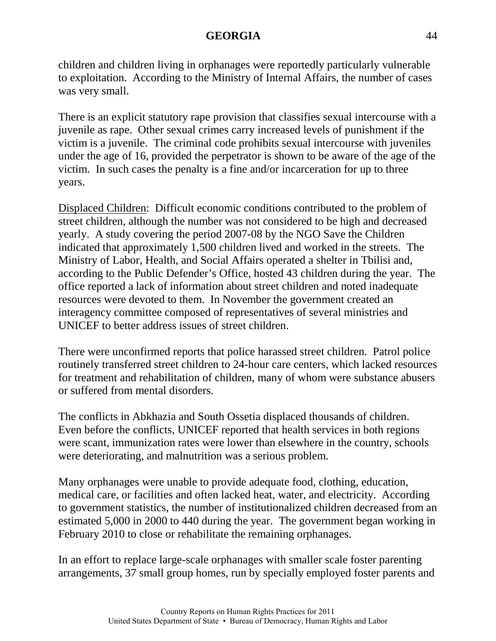children and children living in orphanages were reportedly particularly vulnerable to exploitation. According to the Ministry of Internal Affairs, the number of cases was very small.

There is an explicit statutory rape provision that classifies sexual intercourse with a juvenile as rape. Other sexual crimes carry increased levels of punishment if the victim is a juvenile. The criminal code prohibits sexual intercourse with juveniles under the age of 16, provided the perpetrator is shown to be aware of the age of the victim. In such cases the penalty is a fine and/or incarceration for up to three years.

Displaced Children: Difficult economic conditions contributed to the problem of street children, although the number was not considered to be high and decreased yearly. A study covering the period 2007-08 by the NGO Save the Children indicated that approximately 1,500 children lived and worked in the streets. The Ministry of Labor, Health, and Social Affairs operated a shelter in Tbilisi and, according to the Public Defender's Office, hosted 43 children during the year. The office reported a lack of information about street children and noted inadequate resources were devoted to them. In November the government created an interagency committee composed of representatives of several ministries and UNICEF to better address issues of street children.

There were unconfirmed reports that police harassed street children. Patrol police routinely transferred street children to 24-hour care centers, which lacked resources for treatment and rehabilitation of children, many of whom were substance abusers or suffered from mental disorders.

The conflicts in Abkhazia and South Ossetia displaced thousands of children. Even before the conflicts, UNICEF reported that health services in both regions were scant, immunization rates were lower than elsewhere in the country, schools were deteriorating, and malnutrition was a serious problem.

Many orphanages were unable to provide adequate food, clothing, education, medical care, or facilities and often lacked heat, water, and electricity. According to government statistics, the number of institutionalized children decreased from an estimated 5,000 in 2000 to 440 during the year. The government began working in February 2010 to close or rehabilitate the remaining orphanages.

In an effort to replace large-scale orphanages with smaller scale foster parenting arrangements, 37 small group homes, run by specially employed foster parents and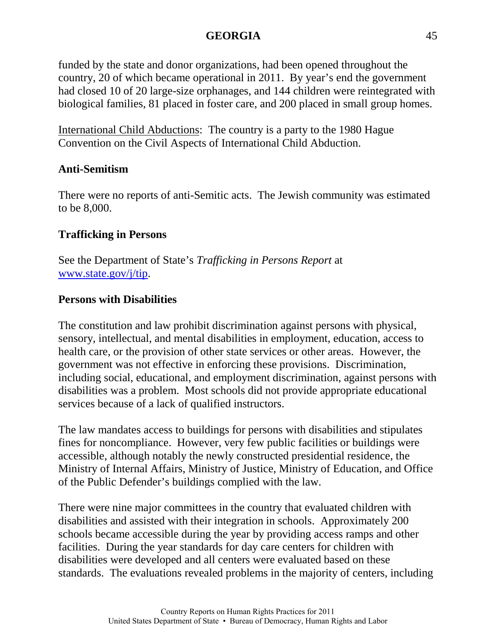funded by the state and donor organizations, had been opened throughout the country, 20 of which became operational in 2011. By year's end the government had closed 10 of 20 large-size orphanages, and 144 children were reintegrated with biological families, 81 placed in foster care, and 200 placed in small group homes.

International Child Abductions: The country is a party to the 1980 Hague Convention on the Civil Aspects of International Child Abduction.

### **Anti-Semitism**

There were no reports of anti-Semitic acts. The Jewish community was estimated to be 8,000.

# **Trafficking in Persons**

See the Department of State's *Trafficking in Persons Report* at [www.state.gov/j/tip.](http://www.state.gov/j/tip)

# **Persons with Disabilities**

The constitution and law prohibit discrimination against persons with physical, sensory, intellectual, and mental disabilities in employment, education, access to health care, or the provision of other state services or other areas. However, the government was not effective in enforcing these provisions. Discrimination, including social, educational, and employment discrimination, against persons with disabilities was a problem. Most schools did not provide appropriate educational services because of a lack of qualified instructors.

The law mandates access to buildings for persons with disabilities and stipulates fines for noncompliance. However, very few public facilities or buildings were accessible, although notably the newly constructed presidential residence, the Ministry of Internal Affairs, Ministry of Justice, Ministry of Education, and Office of the Public Defender's buildings complied with the law.

There were nine major committees in the country that evaluated children with disabilities and assisted with their integration in schools. Approximately 200 schools became accessible during the year by providing access ramps and other facilities. During the year standards for day care centers for children with disabilities were developed and all centers were evaluated based on these standards. The evaluations revealed problems in the majority of centers, including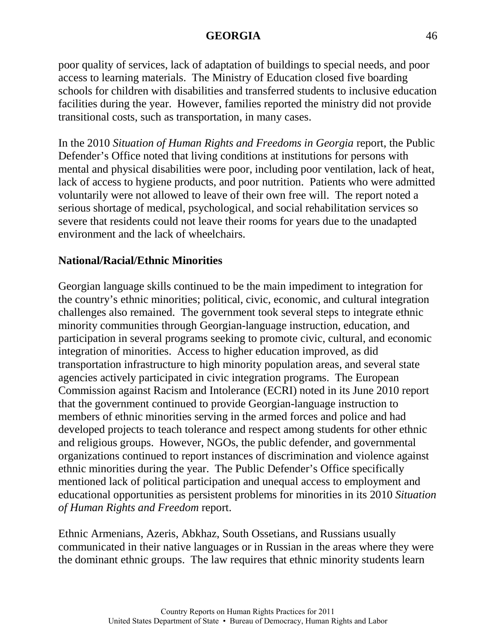poor quality of services, lack of adaptation of buildings to special needs, and poor access to learning materials. The Ministry of Education closed five boarding schools for children with disabilities and transferred students to inclusive education facilities during the year. However, families reported the ministry did not provide transitional costs, such as transportation, in many cases.

In the 2010 *Situation of Human Rights and Freedoms in Georgia* report, the Public Defender's Office noted that living conditions at institutions for persons with mental and physical disabilities were poor, including poor ventilation, lack of heat, lack of access to hygiene products, and poor nutrition. Patients who were admitted voluntarily were not allowed to leave of their own free will. The report noted a serious shortage of medical, psychological, and social rehabilitation services so severe that residents could not leave their rooms for years due to the unadapted environment and the lack of wheelchairs.

# **National/Racial/Ethnic Minorities**

Georgian language skills continued to be the main impediment to integration for the country's ethnic minorities; political, civic, economic, and cultural integration challenges also remained. The government took several steps to integrate ethnic minority communities through Georgian-language instruction, education, and participation in several programs seeking to promote civic, cultural, and economic integration of minorities. Access to higher education improved, as did transportation infrastructure to high minority population areas, and several state agencies actively participated in civic integration programs. The European Commission against Racism and Intolerance (ECRI) noted in its June 2010 report that the government continued to provide Georgian-language instruction to members of ethnic minorities serving in the armed forces and police and had developed projects to teach tolerance and respect among students for other ethnic and religious groups. However, NGOs, the public defender, and governmental organizations continued to report instances of discrimination and violence against ethnic minorities during the year. The Public Defender's Office specifically mentioned lack of political participation and unequal access to employment and educational opportunities as persistent problems for minorities in its 2010 *Situation of Human Rights and Freedom* report.

Ethnic Armenians, Azeris, Abkhaz, South Ossetians, and Russians usually communicated in their native languages or in Russian in the areas where they were the dominant ethnic groups. The law requires that ethnic minority students learn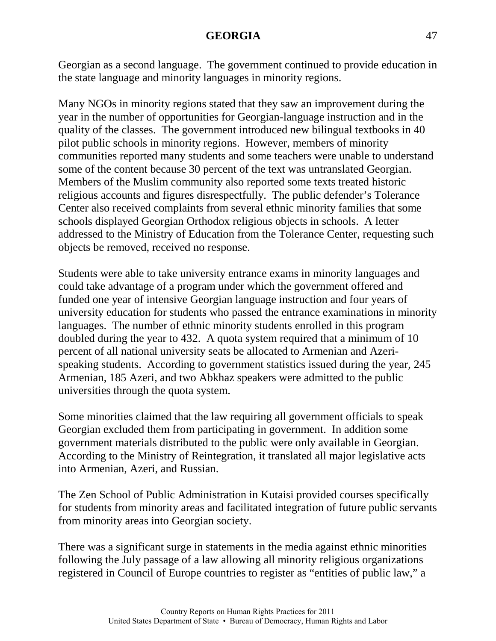Georgian as a second language. The government continued to provide education in the state language and minority languages in minority regions.

Many NGOs in minority regions stated that they saw an improvement during the year in the number of opportunities for Georgian-language instruction and in the quality of the classes. The government introduced new bilingual textbooks in 40 pilot public schools in minority regions. However, members of minority communities reported many students and some teachers were unable to understand some of the content because 30 percent of the text was untranslated Georgian. Members of the Muslim community also reported some texts treated historic religious accounts and figures disrespectfully. The public defender's Tolerance Center also received complaints from several ethnic minority families that some schools displayed Georgian Orthodox religious objects in schools. A letter addressed to the Ministry of Education from the Tolerance Center, requesting such objects be removed, received no response.

Students were able to take university entrance exams in minority languages and could take advantage of a program under which the government offered and funded one year of intensive Georgian language instruction and four years of university education for students who passed the entrance examinations in minority languages. The number of ethnic minority students enrolled in this program doubled during the year to 432. A quota system required that a minimum of 10 percent of all national university seats be allocated to Armenian and Azerispeaking students. According to government statistics issued during the year, 245 Armenian, 185 Azeri, and two Abkhaz speakers were admitted to the public universities through the quota system.

Some minorities claimed that the law requiring all government officials to speak Georgian excluded them from participating in government. In addition some government materials distributed to the public were only available in Georgian. According to the Ministry of Reintegration, it translated all major legislative acts into Armenian, Azeri, and Russian.

The Zen School of Public Administration in Kutaisi provided courses specifically for students from minority areas and facilitated integration of future public servants from minority areas into Georgian society.

There was a significant surge in statements in the media against ethnic minorities following the July passage of a law allowing all minority religious organizations registered in Council of Europe countries to register as "entities of public law," a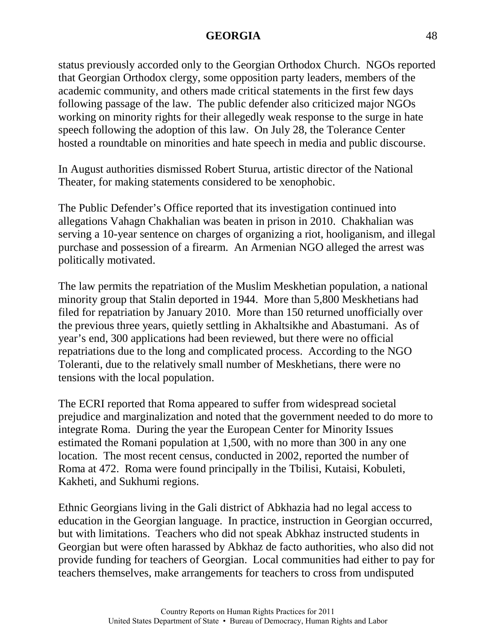status previously accorded only to the Georgian Orthodox Church. NGOs reported that Georgian Orthodox clergy, some opposition party leaders, members of the academic community, and others made critical statements in the first few days following passage of the law. The public defender also criticized major NGOs working on minority rights for their allegedly weak response to the surge in hate speech following the adoption of this law. On July 28, the Tolerance Center hosted a roundtable on minorities and hate speech in media and public discourse.

In August authorities dismissed Robert Sturua, artistic director of the National Theater, for making statements considered to be xenophobic.

The Public Defender's Office reported that its investigation continued into allegations Vahagn Chakhalian was beaten in prison in 2010. Chakhalian was serving a 10-year sentence on charges of organizing a riot, hooliganism, and illegal purchase and possession of a firearm. An Armenian NGO alleged the arrest was politically motivated.

The law permits the repatriation of the Muslim Meskhetian population, a national minority group that Stalin deported in 1944. More than 5,800 Meskhetians had filed for repatriation by January 2010. More than 150 returned unofficially over the previous three years, quietly settling in Akhaltsikhe and Abastumani. As of year's end, 300 applications had been reviewed, but there were no official repatriations due to the long and complicated process. According to the NGO Toleranti, due to the relatively small number of Meskhetians, there were no tensions with the local population.

The ECRI reported that Roma appeared to suffer from widespread societal prejudice and marginalization and noted that the government needed to do more to integrate Roma. During the year the European Center for Minority Issues estimated the Romani population at 1,500, with no more than 300 in any one location. The most recent census, conducted in 2002, reported the number of Roma at 472. Roma were found principally in the Tbilisi, Kutaisi, Kobuleti, Kakheti, and Sukhumi regions.

Ethnic Georgians living in the Gali district of Abkhazia had no legal access to education in the Georgian language. In practice, instruction in Georgian occurred, but with limitations. Teachers who did not speak Abkhaz instructed students in Georgian but were often harassed by Abkhaz de facto authorities, who also did not provide funding for teachers of Georgian. Local communities had either to pay for teachers themselves, make arrangements for teachers to cross from undisputed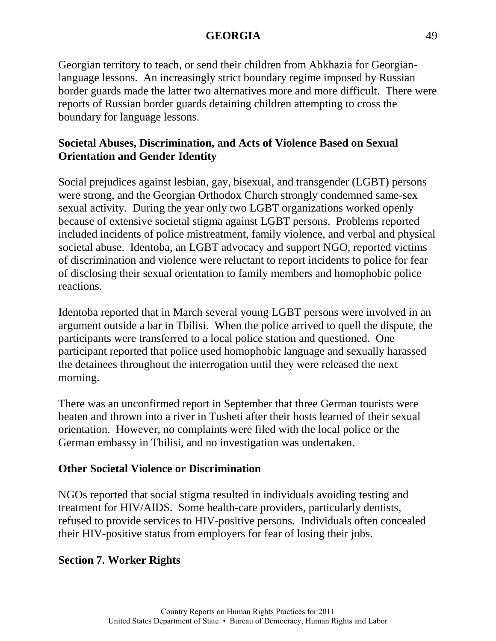Georgian territory to teach, or send their children from Abkhazia for Georgianlanguage lessons. An increasingly strict boundary regime imposed by Russian border guards made the latter two alternatives more and more difficult. There were reports of Russian border guards detaining children attempting to cross the boundary for language lessons.

# **Societal Abuses, Discrimination, and Acts of Violence Based on Sexual Orientation and Gender Identity**

Social prejudices against lesbian, gay, bisexual, and transgender (LGBT) persons were strong, and the Georgian Orthodox Church strongly condemned same-sex sexual activity. During the year only two LGBT organizations worked openly because of extensive societal stigma against LGBT persons. Problems reported included incidents of police mistreatment, family violence, and verbal and physical societal abuse. Identoba, an LGBT advocacy and support NGO, reported victims of discrimination and violence were reluctant to report incidents to police for fear of disclosing their sexual orientation to family members and homophobic police reactions.

Identoba reported that in March several young LGBT persons were involved in an argument outside a bar in Tbilisi. When the police arrived to quell the dispute, the participants were transferred to a local police station and questioned. One participant reported that police used homophobic language and sexually harassed the detainees throughout the interrogation until they were released the next morning.

There was an unconfirmed report in September that three German tourists were beaten and thrown into a river in Tusheti after their hosts learned of their sexual orientation. However, no complaints were filed with the local police or the German embassy in Tbilisi, and no investigation was undertaken.

# **Other Societal Violence or Discrimination**

NGOs reported that social stigma resulted in individuals avoiding testing and treatment for HIV/AIDS. Some health-care providers, particularly dentists, refused to provide services to HIV-positive persons. Individuals often concealed their HIV-positive status from employers for fear of losing their jobs.

# **Section 7. Worker Rights**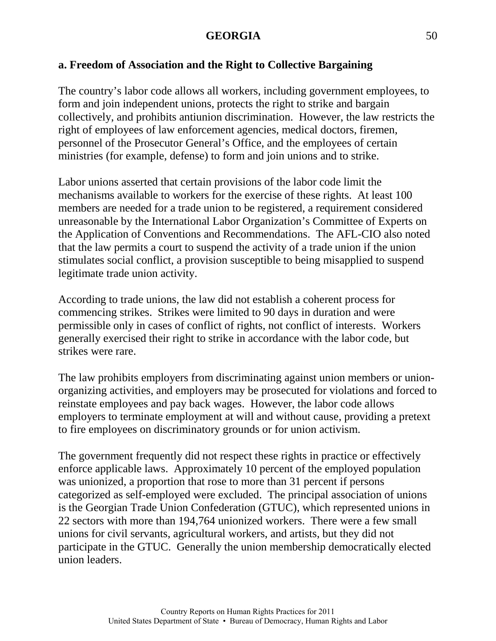### **a. Freedom of Association and the Right to Collective Bargaining**

The country's labor code allows all workers, including government employees, to form and join independent unions, protects the right to strike and bargain collectively, and prohibits antiunion discrimination. However, the law restricts the right of employees of law enforcement agencies, medical doctors, firemen, personnel of the Prosecutor General's Office, and the employees of certain ministries (for example, defense) to form and join unions and to strike.

Labor unions asserted that certain provisions of the labor code limit the mechanisms available to workers for the exercise of these rights. At least 100 members are needed for a trade union to be registered, a requirement considered unreasonable by the International Labor Organization's Committee of Experts on the Application of Conventions and Recommendations. The AFL-CIO also noted that the law permits a court to suspend the activity of a trade union if the union stimulates social conflict, a provision susceptible to being misapplied to suspend legitimate trade union activity.

According to trade unions, the law did not establish a coherent process for commencing strikes. Strikes were limited to 90 days in duration and were permissible only in cases of conflict of rights, not conflict of interests. Workers generally exercised their right to strike in accordance with the labor code, but strikes were rare.

The law prohibits employers from discriminating against union members or unionorganizing activities, and employers may be prosecuted for violations and forced to reinstate employees and pay back wages. However, the labor code allows employers to terminate employment at will and without cause, providing a pretext to fire employees on discriminatory grounds or for union activism.

The government frequently did not respect these rights in practice or effectively enforce applicable laws. Approximately 10 percent of the employed population was unionized, a proportion that rose to more than 31 percent if persons categorized as self-employed were excluded. The principal association of unions is the Georgian Trade Union Confederation (GTUC), which represented unions in 22 sectors with more than 194,764 unionized workers. There were a few small unions for civil servants, agricultural workers, and artists, but they did not participate in the GTUC. Generally the union membership democratically elected union leaders.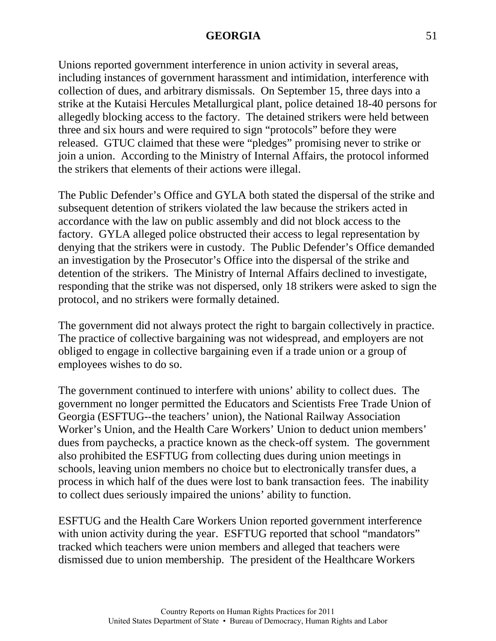Unions reported government interference in union activity in several areas, including instances of government harassment and intimidation, interference with collection of dues, and arbitrary dismissals. On September 15, three days into a strike at the Kutaisi Hercules Metallurgical plant, police detained 18-40 persons for allegedly blocking access to the factory. The detained strikers were held between three and six hours and were required to sign "protocols" before they were released. GTUC claimed that these were "pledges" promising never to strike or join a union. According to the Ministry of Internal Affairs, the protocol informed the strikers that elements of their actions were illegal.

The Public Defender's Office and GYLA both stated the dispersal of the strike and subsequent detention of strikers violated the law because the strikers acted in accordance with the law on public assembly and did not block access to the factory. GYLA alleged police obstructed their access to legal representation by denying that the strikers were in custody. The Public Defender's Office demanded an investigation by the Prosecutor's Office into the dispersal of the strike and detention of the strikers. The Ministry of Internal Affairs declined to investigate, responding that the strike was not dispersed, only 18 strikers were asked to sign the protocol, and no strikers were formally detained.

The government did not always protect the right to bargain collectively in practice. The practice of collective bargaining was not widespread, and employers are not obliged to engage in collective bargaining even if a trade union or a group of employees wishes to do so.

The government continued to interfere with unions' ability to collect dues. The government no longer permitted the Educators and Scientists Free Trade Union of Georgia (ESFTUG--the teachers' union), the National Railway Association Worker's Union, and the Health Care Workers' Union to deduct union members' dues from paychecks, a practice known as the check-off system. The government also prohibited the ESFTUG from collecting dues during union meetings in schools, leaving union members no choice but to electronically transfer dues, a process in which half of the dues were lost to bank transaction fees. The inability to collect dues seriously impaired the unions' ability to function.

ESFTUG and the Health Care Workers Union reported government interference with union activity during the year. ESFTUG reported that school "mandators" tracked which teachers were union members and alleged that teachers were dismissed due to union membership. The president of the Healthcare Workers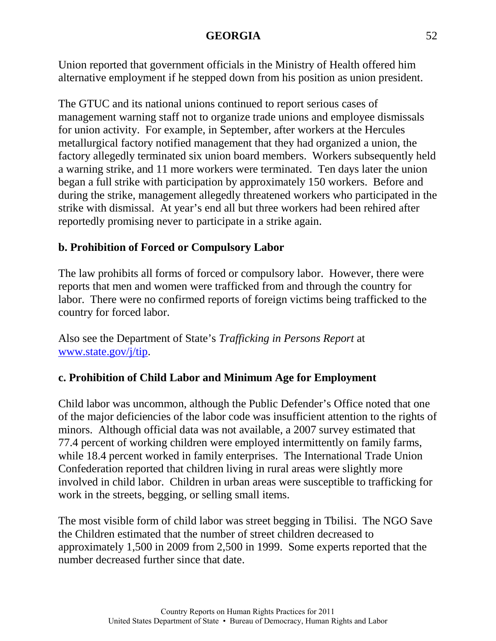Union reported that government officials in the Ministry of Health offered him alternative employment if he stepped down from his position as union president.

The GTUC and its national unions continued to report serious cases of management warning staff not to organize trade unions and employee dismissals for union activity. For example, in September, after workers at the Hercules metallurgical factory notified management that they had organized a union, the factory allegedly terminated six union board members. Workers subsequently held a warning strike, and 11 more workers were terminated. Ten days later the union began a full strike with participation by approximately 150 workers. Before and during the strike, management allegedly threatened workers who participated in the strike with dismissal. At year's end all but three workers had been rehired after reportedly promising never to participate in a strike again.

# **b. Prohibition of Forced or Compulsory Labor**

The law prohibits all forms of forced or compulsory labor. However, there were reports that men and women were trafficked from and through the country for labor. There were no confirmed reports of foreign victims being trafficked to the country for forced labor.

Also see the Department of State's *Trafficking in Persons Report* at [www.state.gov/j/tip.](http://www.state.gov/j/tip)

# **c. Prohibition of Child Labor and Minimum Age for Employment**

Child labor was uncommon, although the Public Defender's Office noted that one of the major deficiencies of the labor code was insufficient attention to the rights of minors. Although official data was not available, a 2007 survey estimated that 77.4 percent of working children were employed intermittently on family farms, while 18.4 percent worked in family enterprises. The International Trade Union Confederation reported that children living in rural areas were slightly more involved in child labor. Children in urban areas were susceptible to trafficking for work in the streets, begging, or selling small items.

The most visible form of child labor was street begging in Tbilisi. The NGO Save the Children estimated that the number of street children decreased to approximately 1,500 in 2009 from 2,500 in 1999. Some experts reported that the number decreased further since that date.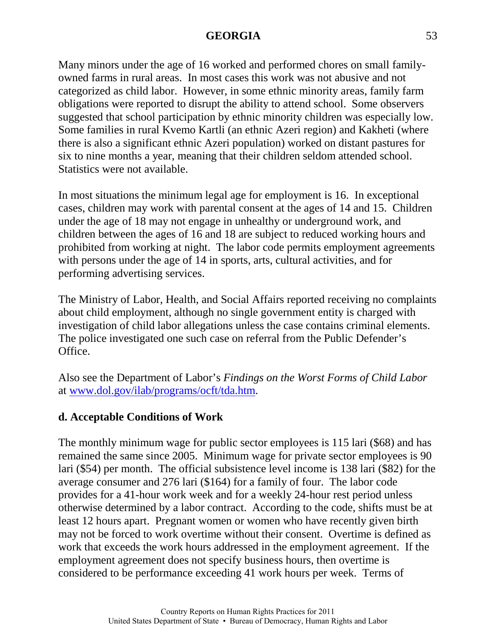Many minors under the age of 16 worked and performed chores on small familyowned farms in rural areas. In most cases this work was not abusive and not categorized as child labor. However, in some ethnic minority areas, family farm obligations were reported to disrupt the ability to attend school. Some observers suggested that school participation by ethnic minority children was especially low. Some families in rural Kvemo Kartli (an ethnic Azeri region) and Kakheti (where there is also a significant ethnic Azeri population) worked on distant pastures for six to nine months a year, meaning that their children seldom attended school. Statistics were not available.

In most situations the minimum legal age for employment is 16. In exceptional cases, children may work with parental consent at the ages of 14 and 15. Children under the age of 18 may not engage in unhealthy or underground work, and children between the ages of 16 and 18 are subject to reduced working hours and prohibited from working at night. The labor code permits employment agreements with persons under the age of 14 in sports, arts, cultural activities, and for performing advertising services.

The Ministry of Labor, Health, and Social Affairs reported receiving no complaints about child employment, although no single government entity is charged with investigation of child labor allegations unless the case contains criminal elements. The police investigated one such case on referral from the Public Defender's Office.

Also see the Department of Labor's *Findings on the Worst Forms of Child Labor* at [www.dol.gov/ilab/programs/ocft/tda.htm.](http://www.dol.gov/ilab/programs/ocft/tda.htm)

# **d. Acceptable Conditions of Work**

The monthly minimum wage for public sector employees is 115 lari (\$68) and has remained the same since 2005. Minimum wage for private sector employees is 90 lari (\$54) per month. The official subsistence level income is 138 lari (\$82) for the average consumer and 276 lari (\$164) for a family of four. The labor code provides for a 41-hour work week and for a weekly 24-hour rest period unless otherwise determined by a labor contract. According to the code, shifts must be at least 12 hours apart. Pregnant women or women who have recently given birth may not be forced to work overtime without their consent. Overtime is defined as work that exceeds the work hours addressed in the employment agreement. If the employment agreement does not specify business hours, then overtime is considered to be performance exceeding 41 work hours per week. Terms of